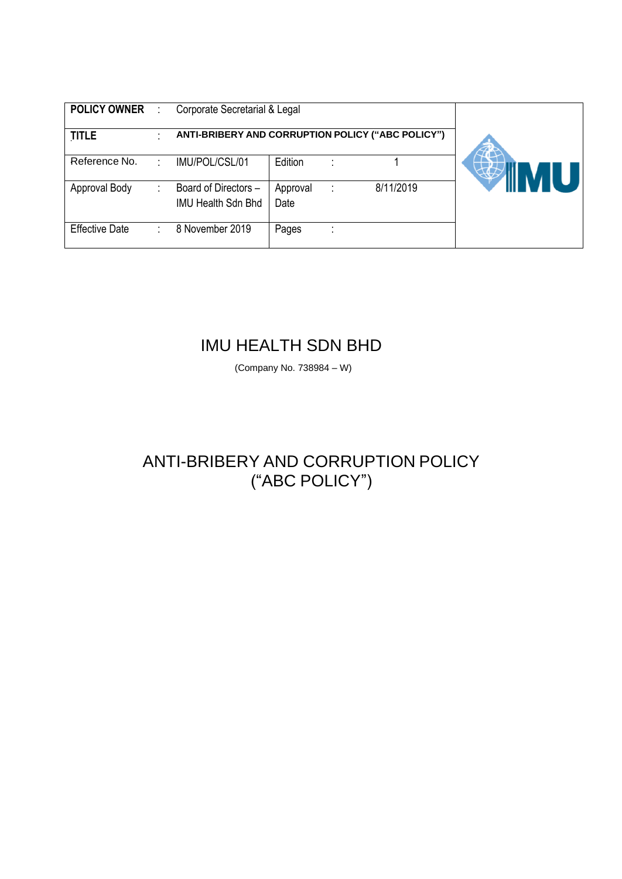| <b>POLICY OWNER</b>   | $\ddot{\phantom{a}}$        | Corporate Secretarial & Legal                     |                  |        |           |  |
|-----------------------|-----------------------------|---------------------------------------------------|------------------|--------|-----------|--|
| <b>TITLE</b>          |                             | ANTI-BRIBERY AND CORRUPTION POLICY ("ABC POLICY") |                  |        |           |  |
| Reference No.         | $\mathcal{F}_{\mathcal{A}}$ | IMU/POL/CSL/01                                    | Edition          | ÷      |           |  |
| Approval Body         |                             | Board of Directors -<br><b>IMU Health Sdn Bhd</b> | Approval<br>Date | ÷      | 8/11/2019 |  |
| <b>Effective Date</b> | ÷                           | 8 November 2019                                   | Pages            | ٠<br>× |           |  |

# IMU HEALTH SDN BHD

(Company No. 738984 – W)

# ANTI-BRIBERY AND CORRUPTION POLICY ("ABC POLICY")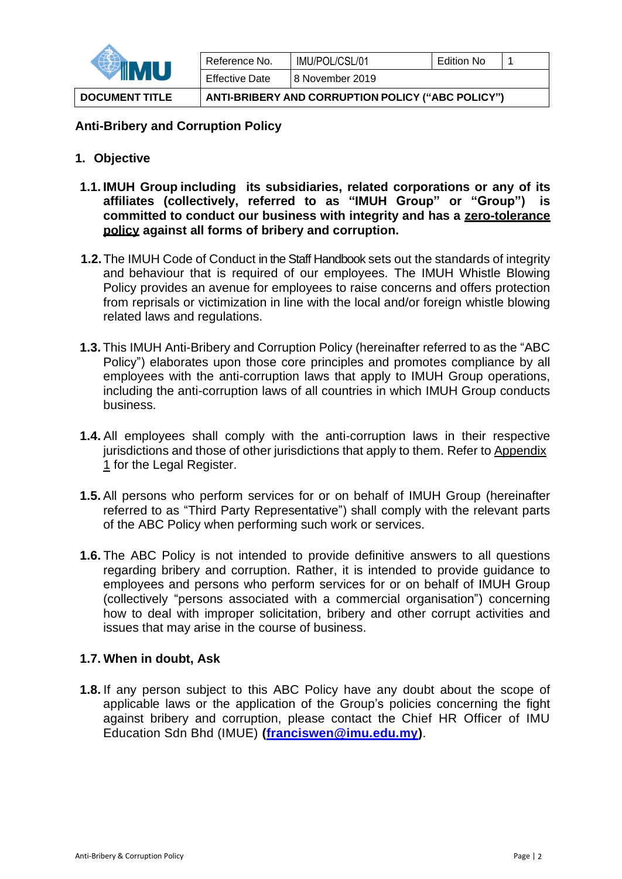

| <b>DOCUMENT TITLE</b> | ANTI-BRIBERY AND CORRUPTION POLICY ("ABC POLICY") |                  |            |  |
|-----------------------|---------------------------------------------------|------------------|------------|--|
|                       | <b>Effective Date</b>                             | 18 November 2019 |            |  |
|                       | Reference No.                                     | IMU/POL/CSL/01   | Edition No |  |
|                       |                                                   |                  |            |  |

## **Anti-Bribery and Corruption Policy**

- **1. Objective**
- **1.1. IMUH Group including its subsidiaries, related corporations or any of its affiliates (collectively, referred to as "IMUH Group" or "Group") is committed to conduct our business with integrity and has a zero-tolerance policy against all forms of bribery and corruption.**
- **1.2.**The IMUH Code of Conduct in the Staff Handbook sets out the standards of integrity and behaviour that is required of our employees. The IMUH Whistle Blowing Policy provides an avenue for employees to raise concerns and offers protection from reprisals or victimization in line with the local and/or foreign whistle blowing related laws and regulations.
- **1.3.** This IMUH Anti-Bribery and Corruption Policy (hereinafter referred to as the "ABC Policy") elaborates upon those core principles and promotes compliance by all employees with the anti-corruption laws that apply to IMUH Group operations, including the anti-corruption laws of all countries in which IMUH Group conducts business.
- **1.4.** All employees shall comply with the anti-corruption laws in their respective jurisdictions and those of other jurisdictions that apply to them. Refer to Appendix 1 for the Legal Register.
- **1.5.** All persons who perform services for or on behalf of IMUH Group (hereinafter referred to as "Third Party Representative") shall comply with the relevant parts of the ABC Policy when performing such work or services.
- **1.6.** The ABC Policy is not intended to provide definitive answers to all questions regarding bribery and corruption. Rather, it is intended to provide guidance to employees and persons who perform services for or on behalf of IMUH Group (collectively "persons associated with a commercial organisation") concerning how to deal with improper solicitation, bribery and other corrupt activities and issues that may arise in the course of business.

# **1.7. When in doubt, Ask**

**1.8.** If any person subject to this ABC Policy have any doubt about the scope of applicable laws or the application of the Group's policies concerning the fight against bribery and corruption, please contact the Chief HR Officer of IMU Education Sdn Bhd (IMUE) **[\(franciswen@imu.edu.my\)](mailto:franciswen@imu.edu.my)**.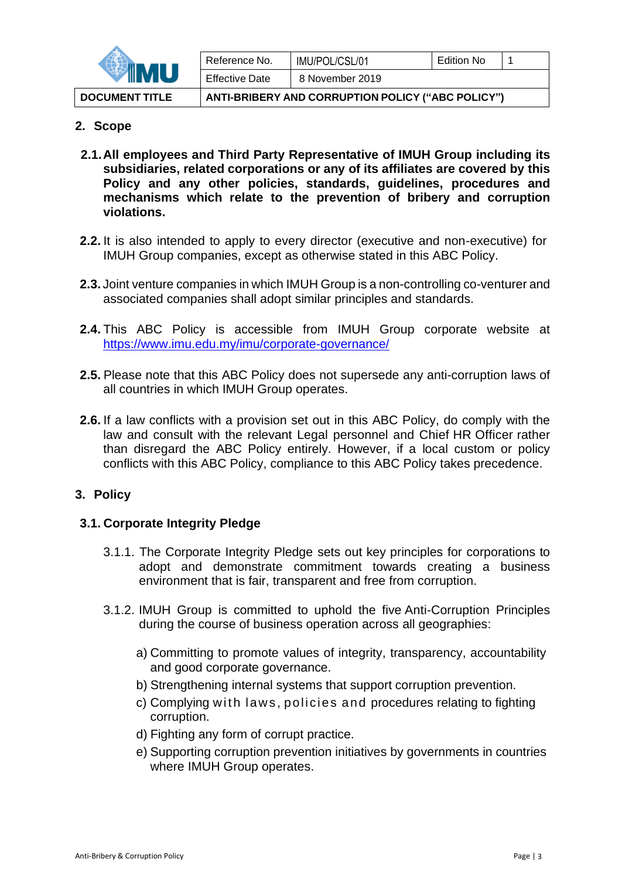

| <b>DOCUMENT TITLE</b> |                       | ANTI-BRIBERY AND CORRUPTION POLICY ("ABC POLICY") |            |  |
|-----------------------|-----------------------|---------------------------------------------------|------------|--|
|                       | <b>Effective Date</b> | 8 November 2019                                   |            |  |
|                       | Reference No.         | IMU/POL/CSL/01                                    | Edition No |  |

# **2. Scope**

- **2.1.All employees and Third Party Representative of IMUH Group including its subsidiaries, related corporations or any of its affiliates are covered by this Policy and any other policies, standards, guidelines, procedures and mechanisms which relate to the prevention of bribery and corruption violations.**
- **2.2.** It is also intended to apply to every director (executive and non-executive) for IMUH Group companies, except as otherwise stated in this ABC Policy.
- **2.3.** Joint venture companies in which IMUH Group is a non-controlling co-venturer and associated companies shall adopt similar principles and standards.
- **2.4.** This ABC Policy is accessible from IMUH Group corporate website at <https://www.imu.edu.my/imu/corporate-governance/>
- **2.5.** Please note that this ABC Policy does not supersede any anti-corruption laws of all countries in which IMUH Group operates.
- **2.6.** If a law conflicts with a provision set out in this ABC Policy, do comply with the law and consult with the relevant Legal personnel and Chief HR Officer rather than disregard the ABC Policy entirely. However, if a local custom or policy conflicts with this ABC Policy, compliance to this ABC Policy takes precedence.

# **3. Policy**

# **3.1. Corporate Integrity Pledge**

- 3.1.1. The Corporate Integrity Pledge sets out key principles for corporations to adopt and demonstrate commitment towards creating a business environment that is fair, transparent and free from corruption.
- 3.1.2. IMUH Group is committed to uphold the five Anti-Corruption Principles during the course of business operation across all geographies:
	- a) Committing to promote values of integrity, transparency, accountability and good corporate governance.
	- b) Strengthening internal systems that support corruption prevention.
	- c) Complying with laws, policies and procedures relating to fighting corruption.
	- d) Fighting any form of corrupt practice.
	- e) Supporting corruption prevention initiatives by governments in countries where IMUH Group operates.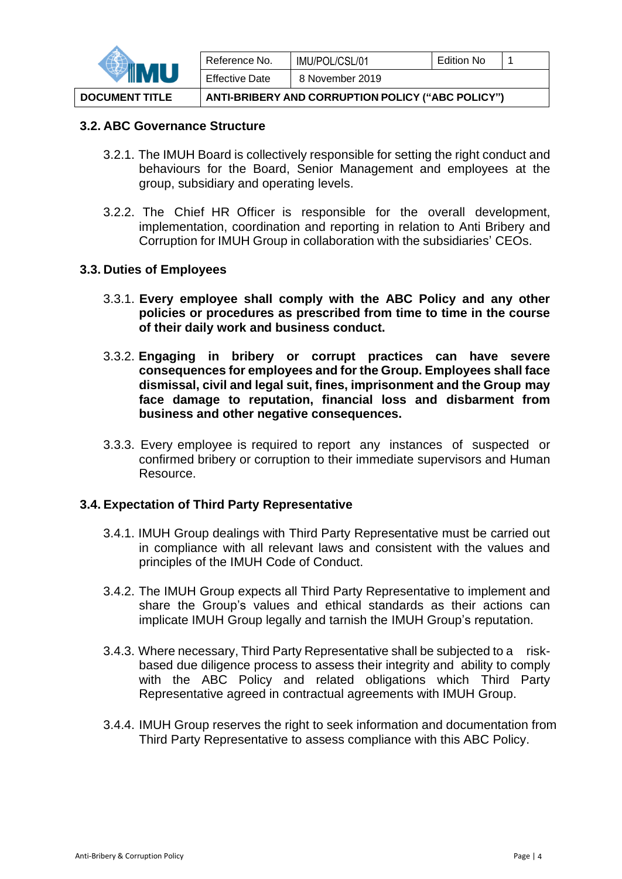

| <b>DOCUMENT TITLE</b> |                       | ANTI-BRIBERY AND CORRUPTION POLICY ("ABC POLICY") |            |  |
|-----------------------|-----------------------|---------------------------------------------------|------------|--|
|                       | <b>Effective Date</b> | 8 November 2019                                   |            |  |
|                       | Reference No.         | IMU/POL/CSL/01                                    | Edition No |  |

## **3.2. ABC Governance Structure**

- 3.2.1. The IMUH Board is collectively responsible for setting the right conduct and behaviours for the Board, Senior Management and employees at the group, subsidiary and operating levels.
- 3.2.2. The Chief HR Officer is responsible for the overall development, implementation, coordination and reporting in relation to Anti Bribery and Corruption for IMUH Group in collaboration with the subsidiaries' CEOs.

## **3.3. Duties of Employees**

- 3.3.1. **Every employee shall comply with the ABC Policy and any other policies or procedures as prescribed from time to time in the course of their daily work and business conduct.**
- 3.3.2. **Engaging in bribery or corrupt practices can have severe consequences for employees and for the Group. Employees shall face dismissal, civil and legal suit, fines, imprisonment and the Group may face damage to reputation, financial loss and disbarment from business and other negative consequences.**
- 3.3.3. Every employee is required to report any instances of suspected or confirmed bribery or corruption to their immediate supervisors and Human Resource.

## **3.4. Expectation of Third Party Representative**

- 3.4.1. IMUH Group dealings with Third Party Representative must be carried out in compliance with all relevant laws and consistent with the values and principles of the IMUH Code of Conduct.
- 3.4.2. The IMUH Group expects all Third Party Representative to implement and share the Group's values and ethical standards as their actions can implicate IMUH Group legally and tarnish the IMUH Group's reputation.
- 3.4.3. Where necessary, Third Party Representative shall be subjected to a riskbased due diligence process to assess their integrity and ability to comply with the ABC Policy and related obligations which Third Party Representative agreed in contractual agreements with IMUH Group.
- 3.4.4. IMUH Group reserves the right to seek information and documentation from Third Party Representative to assess compliance with this ABC Policy.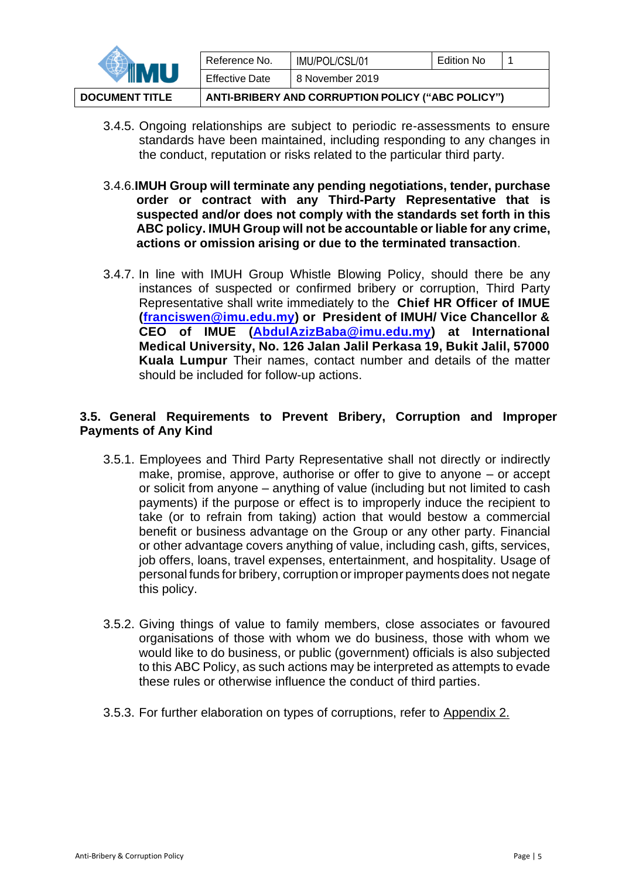

| <b>DOCUMENT TITLE</b> | ANTI-BRIBERY AND CORRUPTION POLICY ("ABC POLICY") |                 |            |  |  |
|-----------------------|---------------------------------------------------|-----------------|------------|--|--|
|                       | <b>Effective Date</b>                             | 8 November 2019 |            |  |  |
|                       | Reference No.                                     | IMU/POL/CSL/01  | Edition No |  |  |

- 3.4.5. Ongoing relationships are subject to periodic re-assessments to ensure standards have been maintained, including responding to any changes in the conduct, reputation or risks related to the particular third party.
- 3.4.6.**IMUH Group will terminate any pending negotiations, tender, purchase order or contract with any Third-Party Representative that is suspected and/or does not comply with the standards set forth in this ABC policy. IMUH Group will not be accountable or liable for any crime, actions or omission arising or due to the terminated transaction**.
- 3.4.7. In line with IMUH Group Whistle Blowing Policy, should there be any instances of suspected or confirmed bribery or corruption, Third Party Representative shall write immediately to the **Chief HR Officer of IMUE [\(franciswen@imu.edu.my\)](mailto:franciswen@imu.edu.my) or President of IMUH/ Vice Chancellor & CEO of IMUE [\(AbdulAzizBaba@imu.edu.my\)](mailto:AbdulAzizBaba@imu.edu.my) at International Medical University, No. 126 Jalan Jalil Perkasa 19, Bukit Jalil, 57000 Kuala Lumpur** Their names, contact number and details of the matter should be included for follow-up actions.

#### **3.5. General Requirements to Prevent Bribery, Corruption and Improper Payments of Any Kind**

- 3.5.1. Employees and Third Party Representative shall not directly or indirectly make, promise, approve, authorise or offer to give to anyone – or accept or solicit from anyone – anything of value (including but not limited to cash payments) if the purpose or effect is to improperly induce the recipient to take (or to refrain from taking) action that would bestow a commercial benefit or business advantage on the Group or any other party. Financial or other advantage covers anything of value, including cash, gifts, services, job offers, loans, travel expenses, entertainment, and hospitality. Usage of personal funds for bribery, corruption or improper payments does not negate this policy.
- 3.5.2. Giving things of value to family members, close associates or favoured organisations of those with whom we do business, those with whom we would like to do business, or public (government) officials is also subjected to this ABC Policy, as such actions may be interpreted as attempts to evade these rules or otherwise influence the conduct of third parties.
- 3.5.3. For further elaboration on types of corruptions, refer to Appendix 2.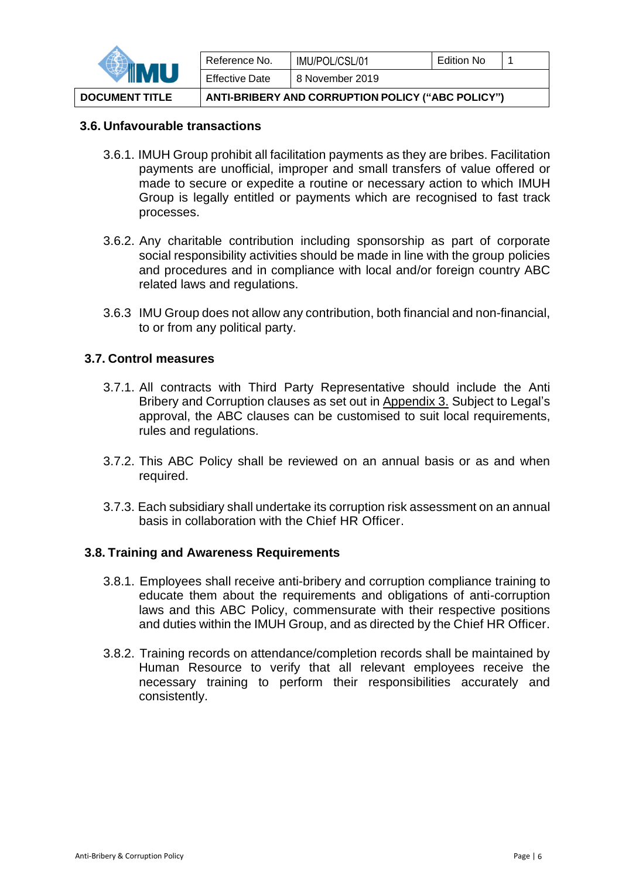

| <b>DOCUMENT TITLE</b> |                       | ANTI-BRIBERY AND CORRUPTION POLICY ("ABC POLICY") |            |  |
|-----------------------|-----------------------|---------------------------------------------------|------------|--|
|                       | <b>Effective Date</b> | 8 November 2019                                   |            |  |
|                       | Reference No.         | IMU/POL/CSL/01                                    | Edition No |  |

# **3.6. Unfavourable transactions**

- 3.6.1. IMUH Group prohibit all facilitation payments as they are bribes. Facilitation payments are unofficial, improper and small transfers of value offered or made to secure or expedite a routine or necessary action to which IMUH Group is legally entitled or payments which are recognised to fast track processes.
- 3.6.2. Any charitable contribution including sponsorship as part of corporate social responsibility activities should be made in line with the group policies and procedures and in compliance with local and/or foreign country ABC related laws and regulations.
- 3.6.3 IMU Group does not allow any contribution, both financial and non-financial, to or from any political party.

## **3.7. Control measures**

- 3.7.1. All contracts with Third Party Representative should include the Anti Bribery and Corruption clauses as set out in Appendix 3. Subject to Legal's approval, the ABC clauses can be customised to suit local requirements, rules and regulations.
- 3.7.2. This ABC Policy shall be reviewed on an annual basis or as and when required.
- 3.7.3. Each subsidiary shall undertake its corruption risk assessment on an annual basis in collaboration with the Chief HR Officer.

#### **3.8. Training and Awareness Requirements**

- 3.8.1. Employees shall receive anti-bribery and corruption compliance training to educate them about the requirements and obligations of anti-corruption laws and this ABC Policy, commensurate with their respective positions and duties within the IMUH Group, and as directed by the Chief HR Officer.
- 3.8.2. Training records on attendance/completion records shall be maintained by Human Resource to verify that all relevant employees receive the necessary training to perform their responsibilities accurately and consistently.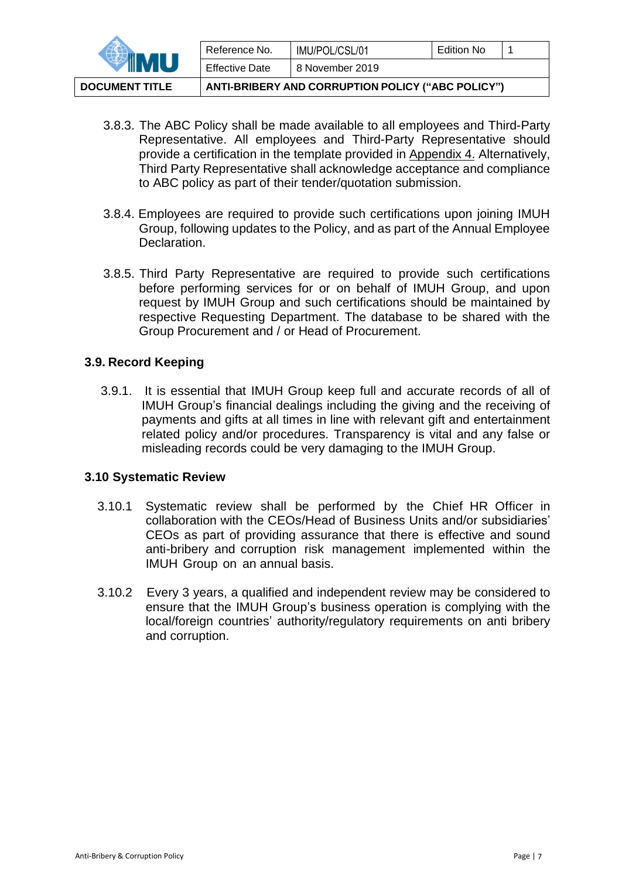

| Effective Date | 8 November 2019 |            |  |
|----------------|-----------------|------------|--|
|                |                 |            |  |
| Reference No.  | IMU/POL/CSL/01  | Edition No |  |

- 3.8.3. The ABC Policy shall be made available to all employees and Third-Party Representative. All employees and Third-Party Representative should provide a certification in the template provided in Appendix 4. Alternatively, Third Party Representative shall acknowledge acceptance and compliance to ABC policy as part of their tender/quotation submission.
- 3.8.4. Employees are required to provide such certifications upon joining IMUH Group, following updates to the Policy, and as part of the Annual Employee Declaration.
- 3.8.5. Third Party Representative are required to provide such certifications before performing services for or on behalf of IMUH Group, and upon request by IMUH Group and such certifications should be maintained by respective Requesting Department. The database to be shared with the Group Procurement and / or Head of Procurement.

## **3.9. Record Keeping**

3.9.1. It is essential that IMUH Group keep full and accurate records of all of IMUH Group's financial dealings including the giving and the receiving of payments and gifts at all times in line with relevant gift and entertainment related policy and/or procedures. Transparency is vital and any false or misleading records could be very damaging to the IMUH Group.

## **3.10 Systematic Review**

- 3.10.1 Systematic review shall be performed by the Chief HR Officer in collaboration with the CEOs/Head of Business Units and/or subsidiaries' CEOs as part of providing assurance that there is effective and sound anti-bribery and corruption risk management implemented within the IMUH Group on an annual basis.
- 3.10.2 Every 3 years, a qualified and independent review may be considered to ensure that the IMUH Group's business operation is complying with the local/foreign countries' authority/regulatory requirements on anti bribery and corruption.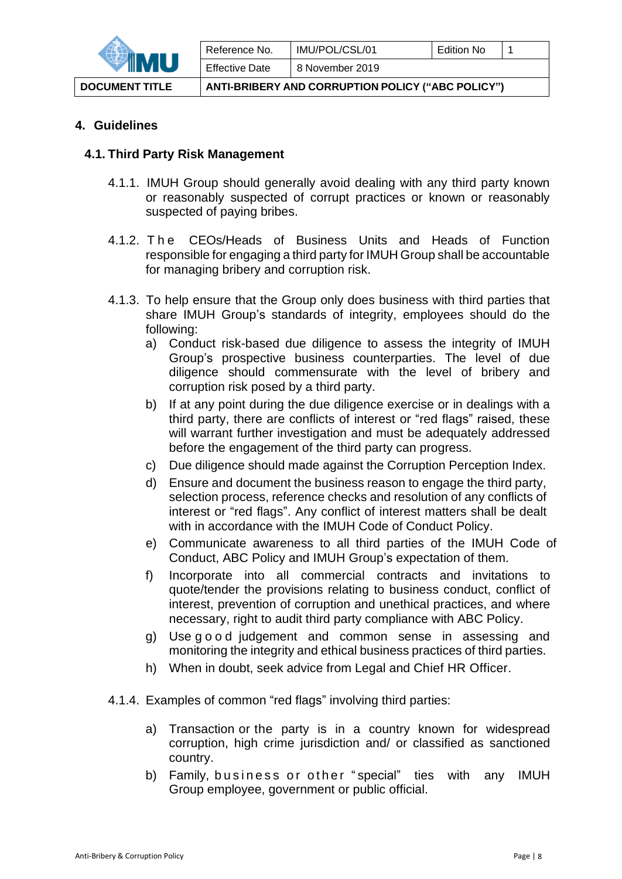

## **4. Guidelines**

#### **4.1. Third Party Risk Management**

- 4.1.1. IMUH Group should generally avoid dealing with any third party known or reasonably suspected of corrupt practices or known or reasonably suspected of paying bribes.
- 4.1.2. The CEOs/Heads of Business Units and Heads of Function responsible for engaging a third party for IMUH Group shall be accountable for managing bribery and corruption risk.
- 4.1.3. To help ensure that the Group only does business with third parties that share IMUH Group's standards of integrity, employees should do the following:
	- a) Conduct risk-based due diligence to assess the integrity of IMUH Group's prospective business counterparties. The level of due diligence should commensurate with the level of bribery and corruption risk posed by a third party.
	- b) If at any point during the due diligence exercise or in dealings with a third party, there are conflicts of interest or "red flags" raised, these will warrant further investigation and must be adequately addressed before the engagement of the third party can progress.
	- c) Due diligence should made against the Corruption Perception Index.
	- d) Ensure and document the business reason to engage the third party, selection process, reference checks and resolution of any conflicts of interest or "red flags". Any conflict of interest matters shall be dealt with in accordance with the IMUH Code of Conduct Policy.
	- e) Communicate awareness to all third parties of the IMUH Code of Conduct, ABC Policy and IMUH Group's expectation of them.
	- f) Incorporate into all commercial contracts and invitations to quote/tender the provisions relating to business conduct, conflict of interest, prevention of corruption and unethical practices, and where necessary, right to audit third party compliance with ABC Policy.
	- g) Use g o o d judgement and common sense in assessing and monitoring the integrity and ethical business practices of third parties.
	- h) When in doubt, seek advice from Legal and Chief HR Officer.
- 4.1.4. Examples of common "red flags" involving third parties:
	- a) Transaction or the party is in a country known for widespread corruption, high crime jurisdiction and/ or classified as sanctioned country.
	- b) Family, business or other "special" ties with any IMUH Group employee, government or public official.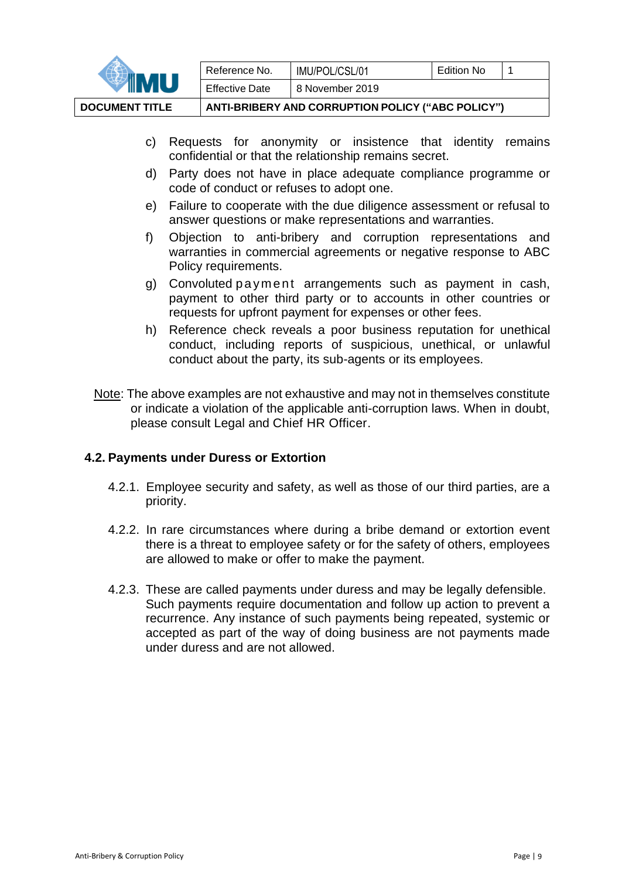| <b>DOCUMENT TITLE</b> |                       | ANTI-BRIBERY AND CORRUPTION POLICY ("ABC POLICY") |            |  |
|-----------------------|-----------------------|---------------------------------------------------|------------|--|
|                       | <b>Effective Date</b> | 8 November 2019                                   |            |  |
|                       | Reference No.         | IMU/POL/CSL/01                                    | Edition No |  |
|                       |                       |                                                   |            |  |

- c) Requests for anonymity or insistence that identity remains confidential or that the relationship remains secret.
- d) Party does not have in place adequate compliance programme or code of conduct or refuses to adopt one.
- e) Failure to cooperate with the due diligence assessment or refusal to answer questions or make representations and warranties.
- f) Objection to anti-bribery and corruption representations and warranties in commercial agreements or negative response to ABC Policy requirements.
- g) Convoluted payment arrangements such as payment in cash, payment to other third party or to accounts in other countries or requests for upfront payment for expenses or other fees.
- h) Reference check reveals a poor business reputation for unethical conduct, including reports of suspicious, unethical, or unlawful conduct about the party, its sub-agents or its employees.
- Note: The above examples are not exhaustive and may not in themselves constitute or indicate a violation of the applicable anti-corruption laws. When in doubt, please consult Legal and Chief HR Officer.

## **4.2. Payments under Duress or Extortion**

- 4.2.1. Employee security and safety, as well as those of our third parties, are a priority.
- 4.2.2. In rare circumstances where during a bribe demand or extortion event there is a threat to employee safety or for the safety of others, employees are allowed to make or offer to make the payment.
- 4.2.3. These are called payments under duress and may be legally defensible. Such payments require documentation and follow up action to prevent a recurrence. Any instance of such payments being repeated, systemic or accepted as part of the way of doing business are not payments made under duress and are not allowed.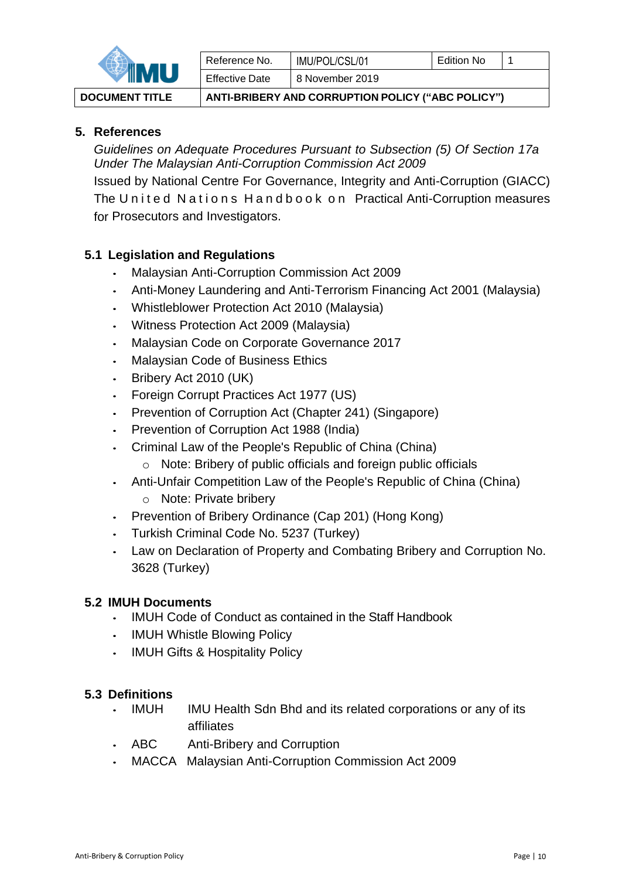

| Reference No.         | IMU/POL/CSL/01  | Edition No |  |
|-----------------------|-----------------|------------|--|
| <b>Effective Date</b> | 8 November 2019 |            |  |

**DOCUMENT TITLE ANTI-BRIBERY AND CORRUPTION POLICY ("ABC POLICY")**

## **5. References**

*Guidelines on Adequate Procedures Pursuant to Subsection (5) Of Section 17a Under The Malaysian Anti-Corruption Commission Act 2009*

Issued by National Centre For Governance, Integrity and Anti-Corruption (GIACC) The United Nations Handbook on Practical Anti-Corruption measures for Prosecutors and Investigators.

## **5.1 Legislation and Regulations**

- Malaysian Anti-Corruption Commission Act 2009
- Anti-Money Laundering and Anti-Terrorism Financing Act 2001 (Malaysia)
- Whistleblower Protection Act 2010 (Malaysia)
- Witness Protection Act 2009 (Malaysia)
- Malaysian Code on Corporate Governance 2017
- Malaysian Code of Business Ethics
- Bribery Act 2010 (UK)
- Foreign Corrupt Practices Act 1977 (US)
- Prevention of Corruption Act (Chapter 241) (Singapore)
- Prevention of Corruption Act 1988 (India)
- Criminal Law of the People's Republic of China (China)
	- o Note: Bribery of public officials and foreign public officials
- Anti-Unfair Competition Law of the People's Republic of China (China)
	- o Note: Private bribery
- Prevention of Bribery Ordinance (Cap 201) (Hong Kong)
- Turkish Criminal Code No. 5237 (Turkey)
- Law on Declaration of Property and Combating Bribery and Corruption No. 3628 (Turkey)

## **5.2 IMUH Documents**

- IMUH Code of Conduct as contained in the Staff Handbook
- IMUH Whistle Blowing Policy
- IMUH Gifts & Hospitality Policy

## **5.3 Definitions**

- IMUH IMU Health Sdn Bhd and its related corporations or any of its affiliates
- ABC Anti-Bribery and Corruption
- MACCA Malaysian Anti-Corruption Commission Act 2009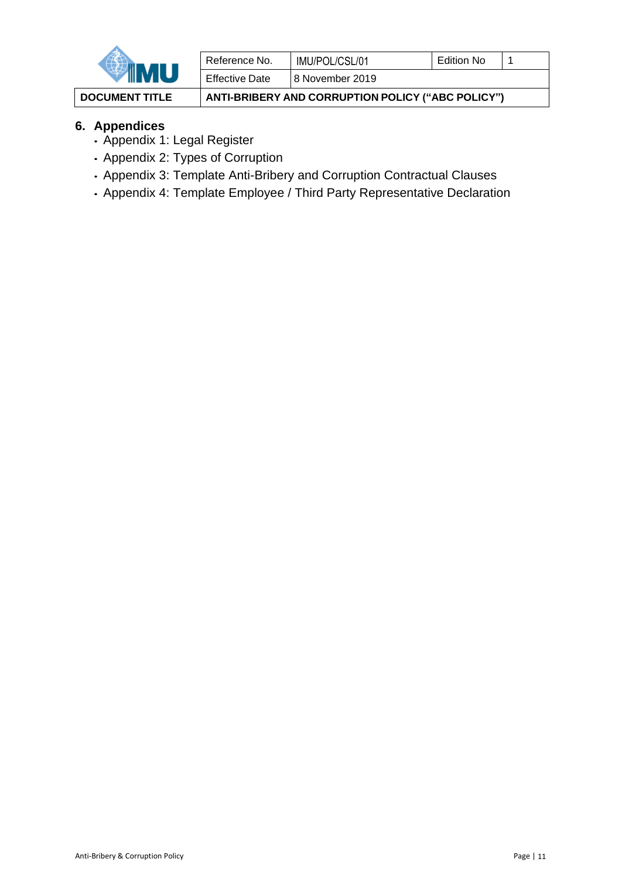

| Reference No.         | IMU/POL/CSL/01  | <b>Edition No</b> |  |
|-----------------------|-----------------|-------------------|--|
| <b>Effective Date</b> | 8 November 2019 |                   |  |

**DOCUMENT TITLE ANTI-BRIBERY AND CORRUPTION POLICY ("ABC POLICY")**

# **6. Appendices**

- Appendix 1: Legal Register
- Appendix 2: Types of Corruption
- Appendix 3: Template Anti-Bribery and Corruption Contractual Clauses
- Appendix 4: Template Employee / Third Party Representative Declaration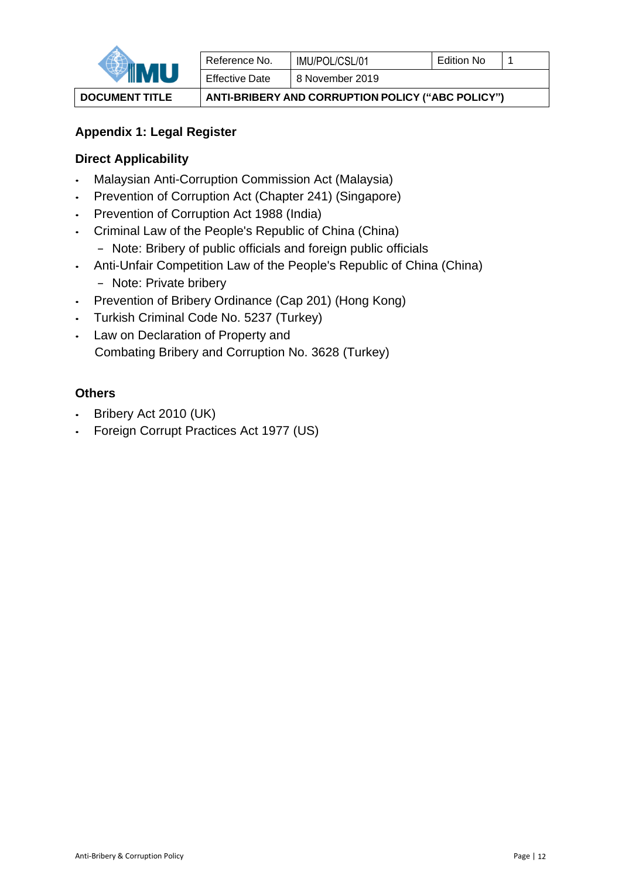

| Reference No.         | IMU/POL/CSL/01  | Edition No |  |
|-----------------------|-----------------|------------|--|
| <b>Effective Date</b> | 8 November 2019 |            |  |

**DOCUMENT TITLE ANTI-BRIBERY AND CORRUPTION POLICY ("ABC POLICY")**

# **Appendix 1: Legal Register**

# **Direct Applicability**

- Malaysian Anti-Corruption Commission Act (Malaysia)
- Prevention of Corruption Act (Chapter 241) (Singapore)
- Prevention of Corruption Act 1988 (India)
- Criminal Law of the People's Republic of China (China)
	- − Note: Bribery of public officials and foreign public officials
- Anti-Unfair Competition Law of the People's Republic of China (China)
	- − Note: Private bribery
- Prevention of Bribery Ordinance (Cap 201) (Hong Kong)
- Turkish Criminal Code No. 5237 (Turkey)
- Law on Declaration of Property and Combating Bribery and Corruption No. 3628 (Turkey)

# **Others**

- Bribery Act 2010 (UK)
- Foreign Corrupt Practices Act 1977 (US)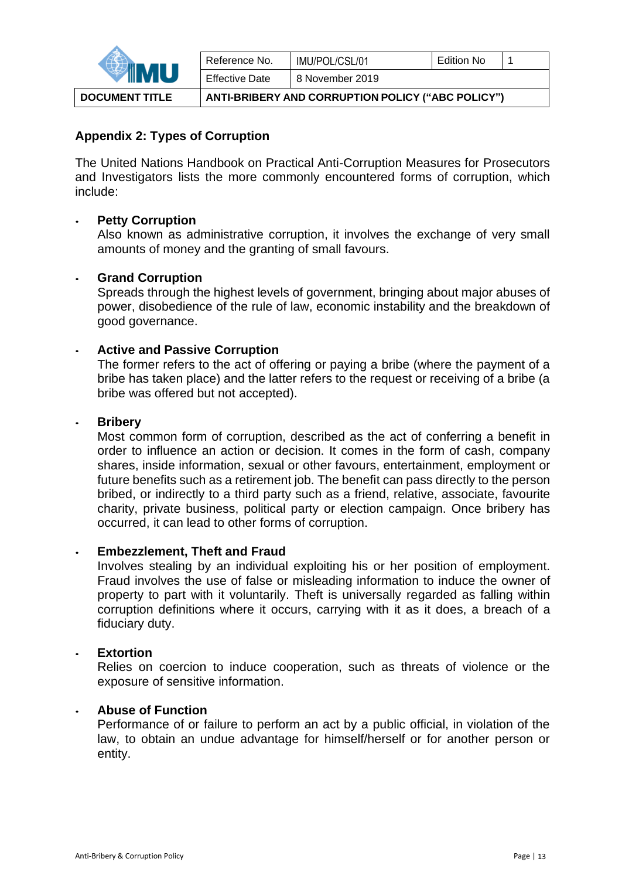

| <b>DOCUMENT TITLE</b> |                       | ANTI-BRIBERY AND CORRUPTION POLICY ("ABC POLICY") |            |  |
|-----------------------|-----------------------|---------------------------------------------------|------------|--|
|                       | <b>Effective Date</b> | 8 November 2019                                   |            |  |
|                       | Reference No.         | IMU/POL/CSL/01                                    | Edition No |  |

# **Appendix 2: Types of Corruption**

The United Nations Handbook on Practical Anti-Corruption Measures for Prosecutors and Investigators lists the more commonly encountered forms of corruption, which include:

#### • **Petty Corruption**

Also known as administrative corruption, it involves the exchange of very small amounts of money and the granting of small favours.

#### • **Grand Corruption**

Spreads through the highest levels of government, bringing about major abuses of power, disobedience of the rule of law, economic instability and the breakdown of good governance.

#### • **Active and Passive Corruption**

The former refers to the act of offering or paying a bribe (where the payment of a bribe has taken place) and the latter refers to the request or receiving of a bribe (a bribe was offered but not accepted).

#### • **Bribery**

Most common form of corruption, described as the act of conferring a benefit in order to influence an action or decision. It comes in the form of cash, company shares, inside information, sexual or other favours, entertainment, employment or future benefits such as a retirement job. The benefit can pass directly to the person bribed, or indirectly to a third party such as a friend, relative, associate, favourite charity, private business, political party or election campaign. Once bribery has occurred, it can lead to other forms of corruption.

#### • **Embezzlement, Theft and Fraud**

Involves stealing by an individual exploiting his or her position of employment. Fraud involves the use of false or misleading information to induce the owner of property to part with it voluntarily. Theft is universally regarded as falling within corruption definitions where it occurs, carrying with it as it does, a breach of a fiduciary duty.

#### • **Extortion**

Relies on coercion to induce cooperation, such as threats of violence or the exposure of sensitive information.

#### • **Abuse of Function**

Performance of or failure to perform an act by a public official, in violation of the law, to obtain an undue advantage for himself/herself or for another person or entity.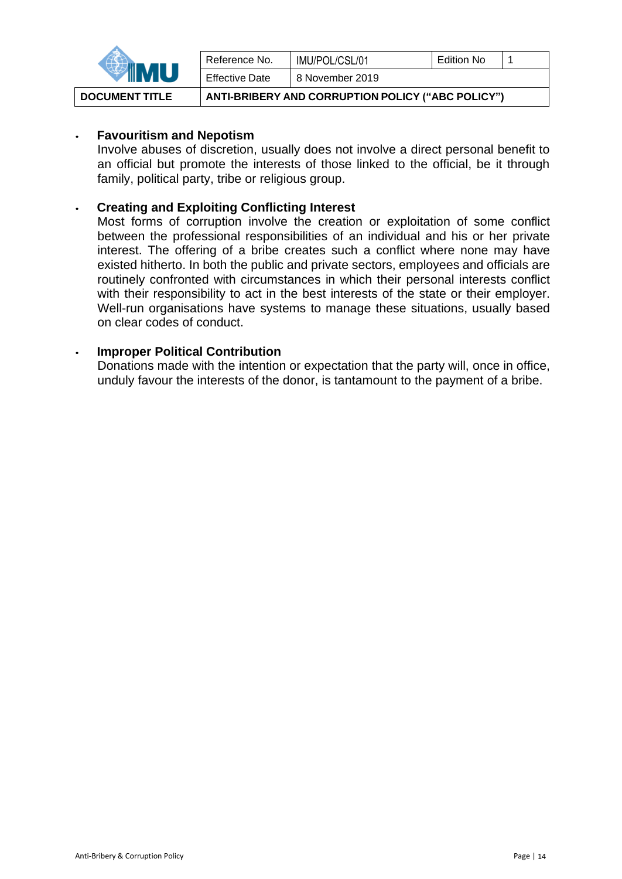

| <b>ANTI-BRIBERY AND CORRUPTION POLICY ("ABC POLICY")</b> |                 |            |  |  |  |  |
|----------------------------------------------------------|-----------------|------------|--|--|--|--|
| <b>Effective Date</b>                                    | 8 November 2019 |            |  |  |  |  |
| Reference No.                                            | IMU/POL/CSL/01  | Edition No |  |  |  |  |

## • **Favouritism and Nepotism**

Involve abuses of discretion, usually does not involve a direct personal benefit to an official but promote the interests of those linked to the official, be it through family, political party, tribe or religious group.

#### • **Creating and Exploiting Conflicting Interest**

Most forms of corruption involve the creation or exploitation of some conflict between the professional responsibilities of an individual and his or her private interest. The offering of a bribe creates such a conflict where none may have existed hitherto. In both the public and private sectors, employees and officials are routinely confronted with circumstances in which their personal interests conflict with their responsibility to act in the best interests of the state or their employer. Well-run organisations have systems to manage these situations, usually based on clear codes of conduct.

#### • **Improper Political Contribution**

Donations made with the intention or expectation that the party will, once in office, unduly favour the interests of the donor, is tantamount to the payment of a bribe.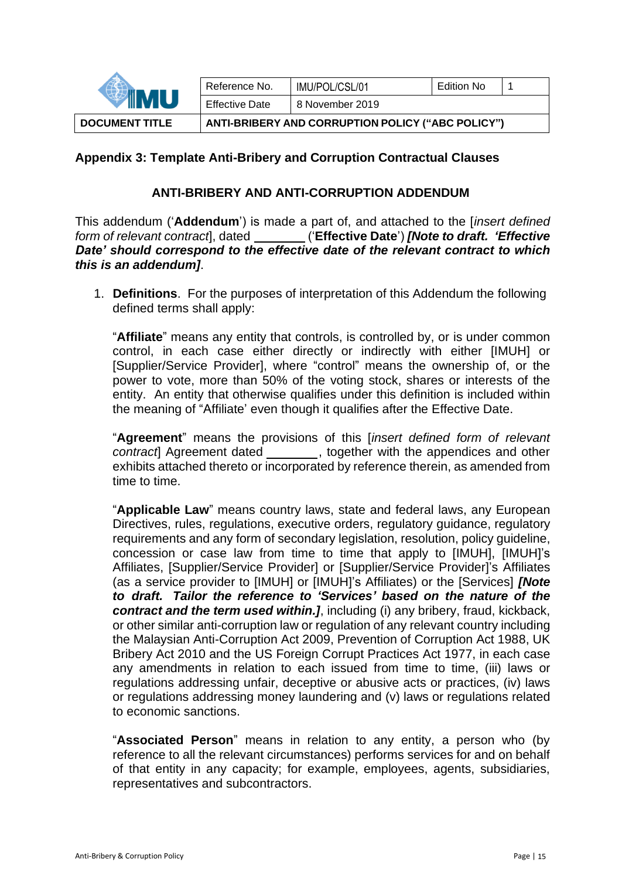| 8 November 2019<br><b>Effective Date</b> | <b>DOCUMENT TITLE</b> | ANTI-BRIBERY AND CORRUPTION POLICY ("ABC POLICY") |                |            |  |  |  |
|------------------------------------------|-----------------------|---------------------------------------------------|----------------|------------|--|--|--|
|                                          |                       |                                                   |                |            |  |  |  |
|                                          |                       | Reference No.                                     | IMU/POL/CSL/01 | Edition No |  |  |  |

#### **Appendix 3: Template Anti-Bribery and Corruption Contractual Clauses**

#### **ANTI-BRIBERY AND ANTI-CORRUPTION ADDENDUM**

This addendum ('**Addendum**') is made a part of, and attached to the [*insert defined form of relevant contract*], dated ('**Effective Date**') *[Note to draft. 'Effective Date' should correspond to the effective date of the relevant contract to which this is an addendum]*.

1. **Definitions**. For the purposes of interpretation of this Addendum the following defined terms shall apply:

"**Affiliate**" means any entity that controls, is controlled by, or is under common control, in each case either directly or indirectly with either [IMUH] or [Supplier/Service Provider], where "control" means the ownership of, or the power to vote, more than 50% of the voting stock, shares or interests of the entity. An entity that otherwise qualifies under this definition is included within the meaning of "Affiliate' even though it qualifies after the Effective Date.

"**Agreement**" means the provisions of this [*insert defined form of relevant contract* Agreement dated , together with the appendices and other exhibits attached thereto or incorporated by reference therein, as amended from time to time.

"**Applicable Law**" means country laws, state and federal laws, any European Directives, rules, regulations, executive orders, regulatory guidance, regulatory requirements and any form of secondary legislation, resolution, policy guideline, concession or case law from time to time that apply to [IMUH], [IMUH]'s Affiliates, [Supplier/Service Provider] or [Supplier/Service Provider]'s Affiliates (as a service provider to [IMUH] or [IMUH]'s Affiliates) or the [Services] *[Note to draft. Tailor the reference to 'Services' based on the nature of the contract and the term used within.]*, including (i) any bribery, fraud, kickback, or other similar anti-corruption law or regulation of any relevant country including the Malaysian Anti-Corruption Act 2009, Prevention of Corruption Act 1988, UK Bribery Act 2010 and the US Foreign Corrupt Practices Act 1977, in each case any amendments in relation to each issued from time to time, (iii) laws or regulations addressing unfair, deceptive or abusive acts or practices, (iv) laws or regulations addressing money laundering and (v) laws or regulations related to economic sanctions.

"**Associated Person**" means in relation to any entity, a person who (by reference to all the relevant circumstances) performs services for and on behalf of that entity in any capacity; for example, employees, agents, subsidiaries, representatives and subcontractors.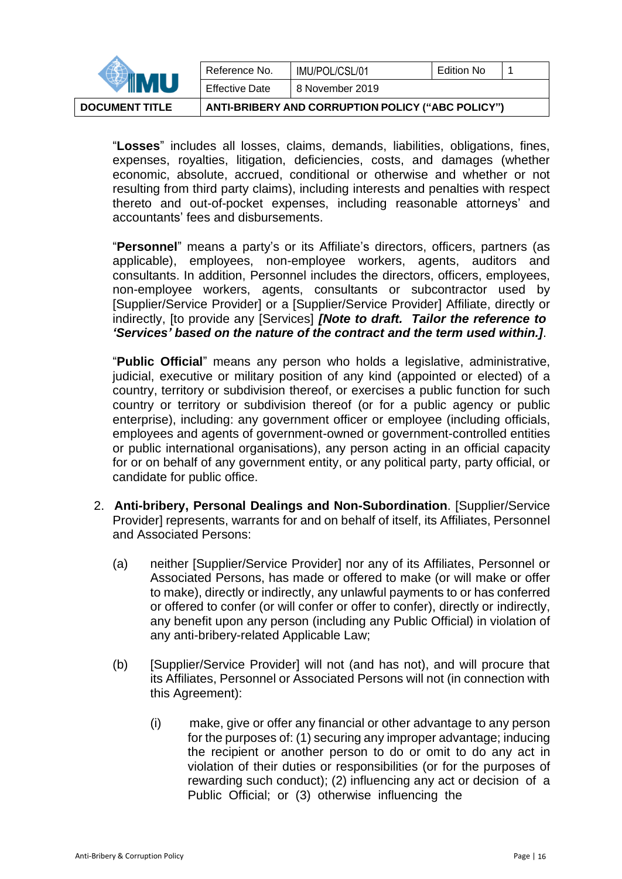| <b>DOCUMENT TITLE</b> | ANTI-BRIBERY AND CORRUPTION POLICY ("ABC POLICY") |                |            |  |  |
|-----------------------|---------------------------------------------------|----------------|------------|--|--|
|                       | 8 November 2019<br><b>Effective Date</b>          |                |            |  |  |
|                       | Reference No.                                     | IMU/POL/CSL/01 | Edition No |  |  |
|                       |                                                   |                |            |  |  |

"**Losses**" includes all losses, claims, demands, liabilities, obligations, fines, expenses, royalties, litigation, deficiencies, costs, and damages (whether economic, absolute, accrued, conditional or otherwise and whether or not resulting from third party claims), including interests and penalties with respect thereto and out-of-pocket expenses, including reasonable attorneys' and accountants' fees and disbursements.

"**Personnel**" means a party's or its Affiliate's directors, officers, partners (as applicable), employees, non-employee workers, agents, auditors and consultants. In addition, Personnel includes the directors, officers, employees, non-employee workers, agents, consultants or subcontractor used by [Supplier/Service Provider] or a [Supplier/Service Provider] Affiliate, directly or indirectly, [to provide any [Services] *[Note to draft. Tailor the reference to 'Services' based on the nature of the contract and the term used within.]*.

"**Public Official**" means any person who holds a legislative, administrative, judicial, executive or military position of any kind (appointed or elected) of a country, territory or subdivision thereof, or exercises a public function for such country or territory or subdivision thereof (or for a public agency or public enterprise), including: any government officer or employee (including officials, employees and agents of government-owned or government-controlled entities or public international organisations), any person acting in an official capacity for or on behalf of any government entity, or any political party, party official, or candidate for public office.

- 2. **Anti-bribery, Personal Dealings and Non-Subordination**. [Supplier/Service Provider] represents, warrants for and on behalf of itself, its Affiliates, Personnel and Associated Persons:
	- (a) neither [Supplier/Service Provider] nor any of its Affiliates, Personnel or Associated Persons, has made or offered to make (or will make or offer to make), directly or indirectly, any unlawful payments to or has conferred or offered to confer (or will confer or offer to confer), directly or indirectly, any benefit upon any person (including any Public Official) in violation of any anti-bribery-related Applicable Law;
	- (b) [Supplier/Service Provider] will not (and has not), and will procure that its Affiliates, Personnel or Associated Persons will not (in connection with this Agreement):
		- (i) make, give or offer any financial or other advantage to any person for the purposes of: (1) securing any improper advantage; inducing the recipient or another person to do or omit to do any act in violation of their duties or responsibilities (or for the purposes of rewarding such conduct); (2) influencing any act or decision of a Public Official; or (3) otherwise influencing the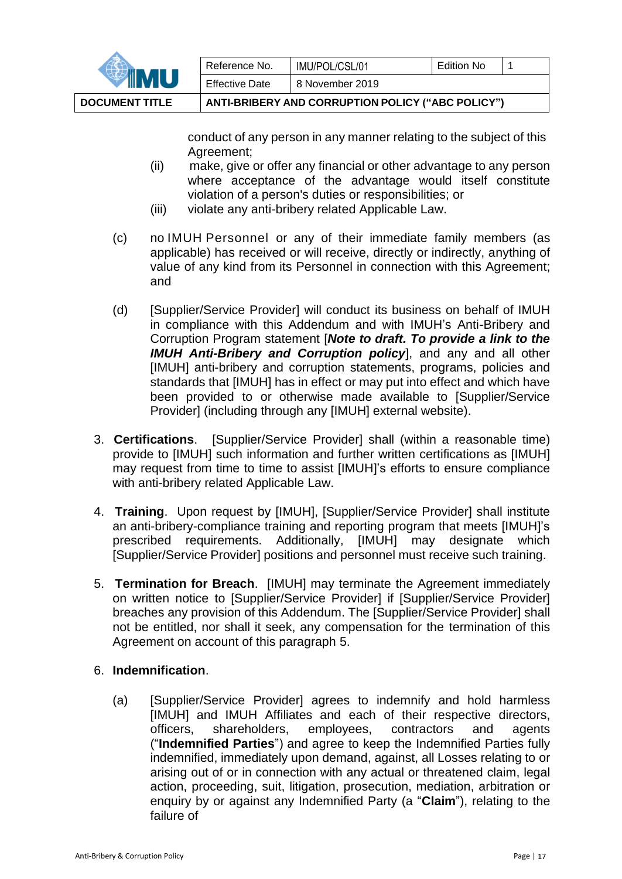| <b>DOCUMENT TITLE</b> | ANTI-BRIBERY AND CORRUPTION POLICY ("ABC POLICY") |                              |  |  |  |
|-----------------------|---------------------------------------------------|------------------------------|--|--|--|
|                       | Effective Date                                    | 8 November 2019              |  |  |  |
|                       | Reference No.                                     | Edition No<br>IMU/POL/CSL/01 |  |  |  |
|                       |                                                   |                              |  |  |  |

conduct of any person in any manner relating to the subject of this Agreement;

- (ii) make, give or offer any financial or other advantage to any person where acceptance of the advantage would itself constitute violation of a person's duties or responsibilities; or
- (iii) violate any anti-bribery related Applicable Law.
- (c) no IMUH Personnel or any of their immediate family members (as applicable) has received or will receive, directly or indirectly, anything of value of any kind from its Personnel in connection with this Agreement; and
- (d) [Supplier/Service Provider] will conduct its business on behalf of IMUH in compliance with this Addendum and with IMUH's Anti-Bribery and Corruption Program statement [*Note to draft. To provide a link to the IMUH Anti-Bribery and Corruption policy*], and any and all other [IMUH] anti-bribery and corruption statements, programs, policies and standards that [IMUH] has in effect or may put into effect and which have been provided to or otherwise made available to [Supplier/Service Provider] (including through any [IMUH] external website).
- 3. **Certifications**. [Supplier/Service Provider] shall (within a reasonable time) provide to [IMUH] such information and further written certifications as [IMUH] may request from time to time to assist [IMUH]'s efforts to ensure compliance with anti-bribery related Applicable Law.
- 4. **Training**. Upon request by [IMUH], [Supplier/Service Provider] shall institute an anti-bribery-compliance training and reporting program that meets [IMUH]'s prescribed requirements. Additionally, [IMUH] may designate which [Supplier/Service Provider] positions and personnel must receive such training.
- 5. **Termination for Breach**. [IMUH] may terminate the Agreement immediately on written notice to [Supplier/Service Provider] if [Supplier/Service Provider] breaches any provision of this Addendum. The [Supplier/Service Provider] shall not be entitled, nor shall it seek, any compensation for the termination of this Agreement on account of this paragraph 5.
- 6. **Indemnification**.
	- (a) [Supplier/Service Provider] agrees to indemnify and hold harmless [IMUH] and IMUH Affiliates and each of their respective directors, officers, shareholders, employees, contractors and agents ("**Indemnified Parties**") and agree to keep the Indemnified Parties fully indemnified, immediately upon demand, against, all Losses relating to or arising out of or in connection with any actual or threatened claim, legal action, proceeding, suit, litigation, prosecution, mediation, arbitration or enquiry by or against any Indemnified Party (a "**Claim**"), relating to the failure of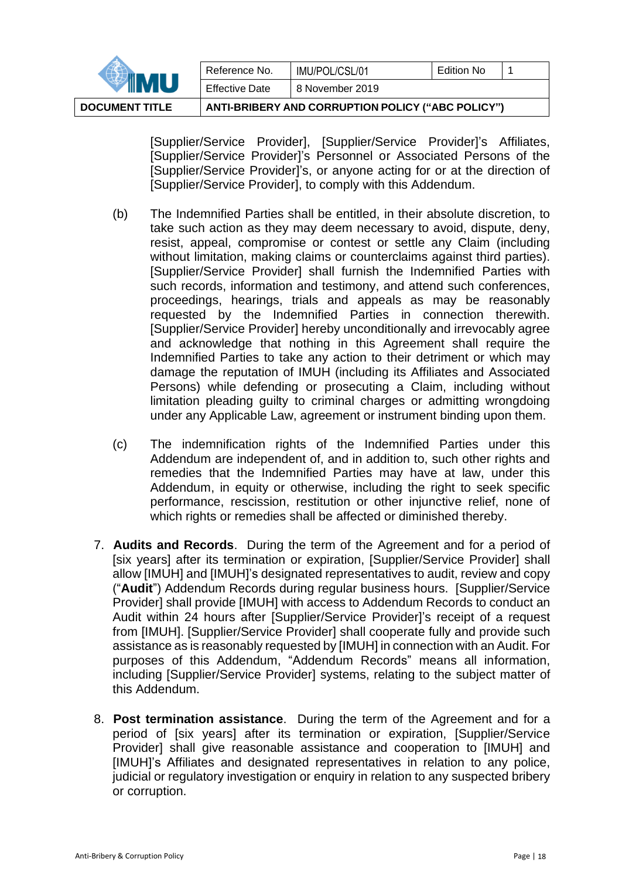| <b>DOCUMENT TITLE</b> | ANTI-BRIBERY AND CORRUPTION POLICY ("ABC POLICY") |                 |            |  |  |  |
|-----------------------|---------------------------------------------------|-----------------|------------|--|--|--|
|                       | <b>Effective Date</b>                             | 8 November 2019 |            |  |  |  |
|                       | Reference No.                                     | IMU/POL/CSL/01  | Edition No |  |  |  |
|                       |                                                   |                 |            |  |  |  |

[Supplier/Service Provider], [Supplier/Service Provider]'s Affiliates, [Supplier/Service Provider]'s Personnel or Associated Persons of the [Supplier/Service Provider]'s, or anyone acting for or at the direction of [Supplier/Service Provider], to comply with this Addendum.

- (b) The Indemnified Parties shall be entitled, in their absolute discretion, to take such action as they may deem necessary to avoid, dispute, deny, resist, appeal, compromise or contest or settle any Claim (including without limitation, making claims or counterclaims against third parties). [Supplier/Service Provider] shall furnish the Indemnified Parties with such records, information and testimony, and attend such conferences, proceedings, hearings, trials and appeals as may be reasonably requested by the Indemnified Parties in connection therewith. [Supplier/Service Provider] hereby unconditionally and irrevocably agree and acknowledge that nothing in this Agreement shall require the Indemnified Parties to take any action to their detriment or which may damage the reputation of IMUH (including its Affiliates and Associated Persons) while defending or prosecuting a Claim, including without limitation pleading guilty to criminal charges or admitting wrongdoing under any Applicable Law, agreement or instrument binding upon them.
- (c) The indemnification rights of the Indemnified Parties under this Addendum are independent of, and in addition to, such other rights and remedies that the Indemnified Parties may have at law, under this Addendum, in equity or otherwise, including the right to seek specific performance, rescission, restitution or other injunctive relief, none of which rights or remedies shall be affected or diminished thereby.
- 7. **Audits and Records**. During the term of the Agreement and for a period of [six years] after its termination or expiration, [Supplier/Service Provider] shall allow [IMUH] and [IMUH]'s designated representatives to audit, review and copy ("**Audit**") Addendum Records during regular business hours. [Supplier/Service Provider] shall provide [IMUH] with access to Addendum Records to conduct an Audit within 24 hours after [Supplier/Service Provider]'s receipt of a request from [IMUH]. [Supplier/Service Provider] shall cooperate fully and provide such assistance as is reasonably requested by [IMUH] in connection with an Audit. For purposes of this Addendum, "Addendum Records" means all information, including [Supplier/Service Provider] systems, relating to the subject matter of this Addendum.
- 8. **Post termination assistance**. During the term of the Agreement and for a period of [six years] after its termination or expiration, [Supplier/Service Provider] shall give reasonable assistance and cooperation to [IMUH] and [IMUH]'s Affiliates and designated representatives in relation to any police, judicial or regulatory investigation or enquiry in relation to any suspected bribery or corruption.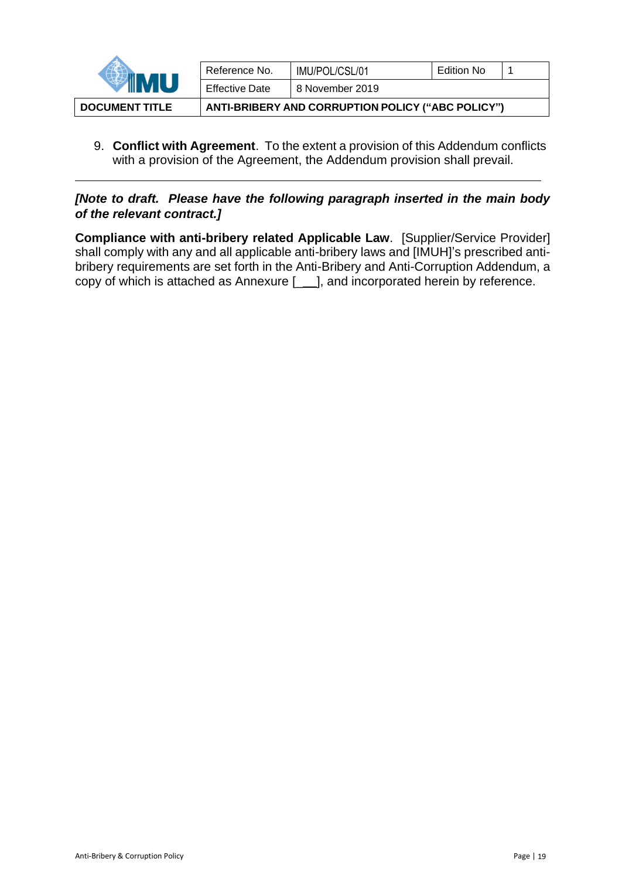

9. **Conflict with Agreement**. To the extent a provision of this Addendum conflicts with a provision of the Agreement, the Addendum provision shall prevail.

## *[Note to draft. Please have the following paragraph inserted in the main body of the relevant contract.]*

**Compliance with anti-bribery related Applicable Law**. [Supplier/Service Provider] shall comply with any and all applicable anti-bribery laws and [IMUH]'s prescribed antibribery requirements are set forth in the Anti-Bribery and Anti-Corruption Addendum, a copy of which is attached as Annexure [\_\_\_], and incorporated herein by reference.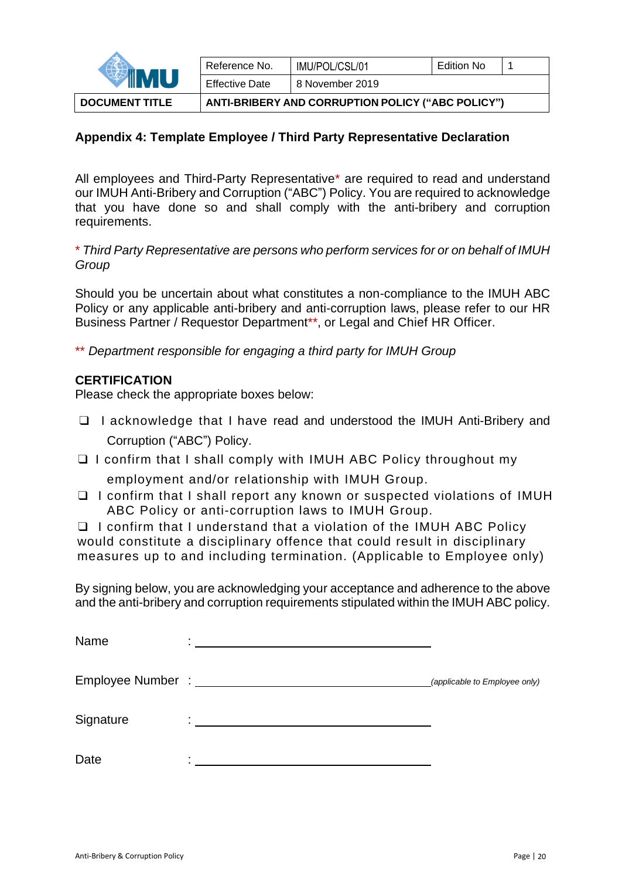

| ANTI-RRIRERY AND CORRUPTION POLICY ("ARC POLICY") |                              |  |  |  |  |  |
|---------------------------------------------------|------------------------------|--|--|--|--|--|
| <b>Effective Date</b>                             | 8 November 2019              |  |  |  |  |  |
| Reference No.                                     | Edition No<br>IMU/POL/CSL/01 |  |  |  |  |  |

## **Appendix 4: Template Employee / Third Party Representative Declaration**

All employees and Third-Party Representative\* are required to read and understand our IMUH Anti-Bribery and Corruption ("ABC") Policy. You are required to acknowledge that you have done so and shall comply with the anti-bribery and corruption requirements.

\* *Third Party Representative are persons who perform services for or on behalf of IMUH Group*

Should you be uncertain about what constitutes a non-compliance to the IMUH ABC Policy or any applicable anti-bribery and anti-corruption laws, please refer to our HR Business Partner / Requestor Department\*\*, or Legal and Chief HR Officer.

\*\* *Department responsible for engaging a third party for IMUH Group*

#### **CERTIFICATION**

Please check the appropriate boxes below:

- ❑ I acknowledge that I have read and understood the IMUH Anti-Bribery and Corruption ("ABC") Policy.
- ❑ I confirm that I shall comply with IMUH ABC Policy throughout my employment and/or relationship with IMUH Group.
- ❑ I confirm that I shall report any known or suspected violations of IMUH ABC Policy or anti-corruption laws to IMUH Group.

❑ I confirm that I understand that a violation of the IMUH ABC Policy would constitute a disciplinary offence that could result in disciplinary measures up to and including termination. (Applicable to Employee only)

By signing below, you are acknowledging your acceptance and adherence to the above and the anti-bribery and corruption requirements stipulated within the IMUH ABC policy.

| Name      |                               |
|-----------|-------------------------------|
|           | (applicable to Employee only) |
| Signature |                               |
| Date      |                               |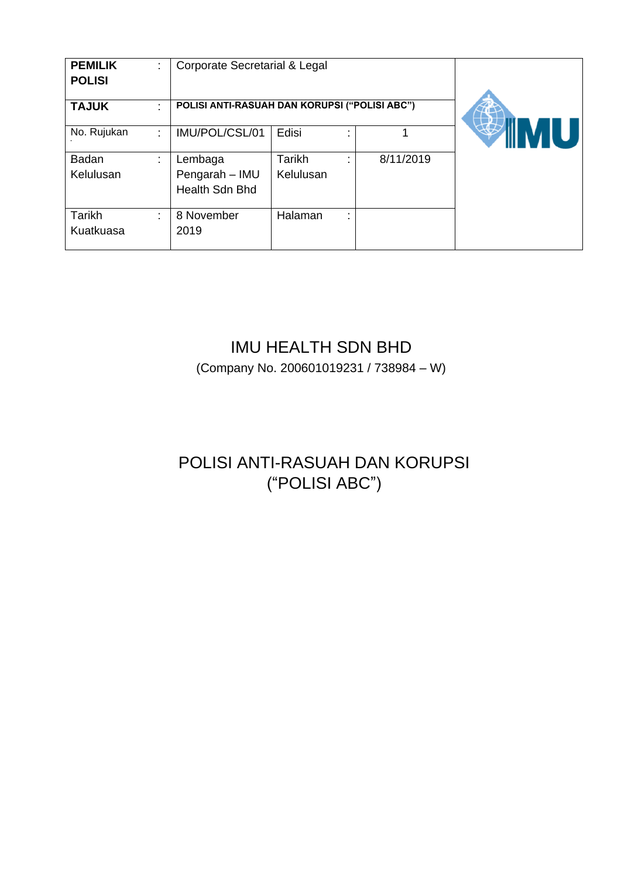| <b>PEMILIK</b><br>٠<br>÷.<br><b>POLISI</b> | Corporate Secretarial & Legal                 |                     |          |           |  |
|--------------------------------------------|-----------------------------------------------|---------------------|----------|-----------|--|
| <b>TAJUK</b><br>٠                          | POLISI ANTI-RASUAH DAN KORUPSI ("POLISI ABC") |                     |          |           |  |
| No. Rujukan<br>÷                           | IMU/POL/CSL/01                                | Edisi               |          |           |  |
| Badan<br>÷<br>Kelulusan                    | Lembaga<br>Pengarah - IMU<br>Health Sdn Bhd   | Tarikh<br>Kelulusan | ۰.       | 8/11/2019 |  |
| <b>Tarikh</b><br>t<br>Kuatkuasa            | 8 November<br>2019                            | Halaman             | ۰.<br>٠. |           |  |

# IMU HEALTH SDN BHD

(Company No. 200601019231 / 738984 – W)

# POLISI ANTI-RASUAH DAN KORUPSI ("POLISI ABC")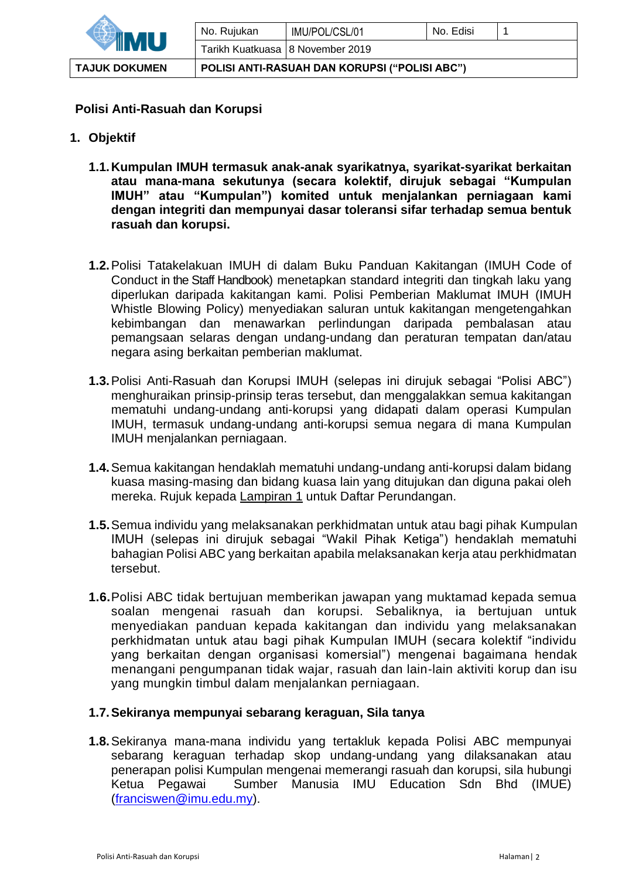

#### **Polisi Anti-Rasuah dan Korupsi**

- **1. Objektif**
	- **1.1.Kumpulan IMUH termasuk anak-anak syarikatnya, syarikat-syarikat berkaitan atau mana-mana sekutunya (secara kolektif, dirujuk sebagai "Kumpulan IMUH" atau "Kumpulan") komited untuk menjalankan perniagaan kami dengan integriti dan mempunyai dasar toleransi sifar terhadap semua bentuk rasuah dan korupsi.**
	- **1.2.**Polisi Tatakelakuan IMUH di dalam Buku Panduan Kakitangan (IMUH Code of Conduct in the Staff Handbook) menetapkan standard integriti dan tingkah laku yang diperlukan daripada kakitangan kami. Polisi Pemberian Maklumat IMUH (IMUH Whistle Blowing Policy) menyediakan saluran untuk kakitangan mengetengahkan kebimbangan dan menawarkan perlindungan daripada pembalasan atau pemangsaan selaras dengan undang-undang dan peraturan tempatan dan/atau negara asing berkaitan pemberian maklumat.
	- **1.3.**Polisi Anti-Rasuah dan Korupsi IMUH (selepas ini dirujuk sebagai "Polisi ABC") menghuraikan prinsip-prinsip teras tersebut, dan menggalakkan semua kakitangan mematuhi undang-undang anti-korupsi yang didapati dalam operasi Kumpulan IMUH, termasuk undang-undang anti-korupsi semua negara di mana Kumpulan IMUH menjalankan perniagaan.
	- **1.4.**Semua kakitangan hendaklah mematuhi undang-undang anti-korupsi dalam bidang kuasa masing-masing dan bidang kuasa lain yang ditujukan dan diguna pakai oleh mereka. Rujuk kepada Lampiran 1 untuk Daftar Perundangan.
	- **1.5.**Semua individu yang melaksanakan perkhidmatan untuk atau bagi pihak Kumpulan IMUH (selepas ini dirujuk sebagai "Wakil Pihak Ketiga") hendaklah mematuhi bahagian Polisi ABC yang berkaitan apabila melaksanakan kerja atau perkhidmatan tersebut.
	- **1.6.**Polisi ABC tidak bertujuan memberikan jawapan yang muktamad kepada semua soalan mengenai rasuah dan korupsi. Sebaliknya, ia bertujuan untuk menyediakan panduan kepada kakitangan dan individu yang melaksanakan perkhidmatan untuk atau bagi pihak Kumpulan IMUH (secara kolektif "individu yang berkaitan dengan organisasi komersial") mengenai bagaimana hendak menangani pengumpanan tidak wajar, rasuah dan lain-lain aktiviti korup dan isu yang mungkin timbul dalam menjalankan perniagaan.

## **1.7.Sekiranya mempunyai sebarang keraguan, Sila tanya**

**1.8.**Sekiranya mana-mana individu yang tertakluk kepada Polisi ABC mempunyai sebarang keraguan terhadap skop undang-undang yang dilaksanakan atau penerapan polisi Kumpulan mengenai memerangi rasuah dan korupsi, sila hubungi Ketua Pegawai Sumber Manusia IMU Education Sdn Bhd (IMUE) [\(franciswen@imu.edu.my\)](mailto:franciswen@imu.edu.my).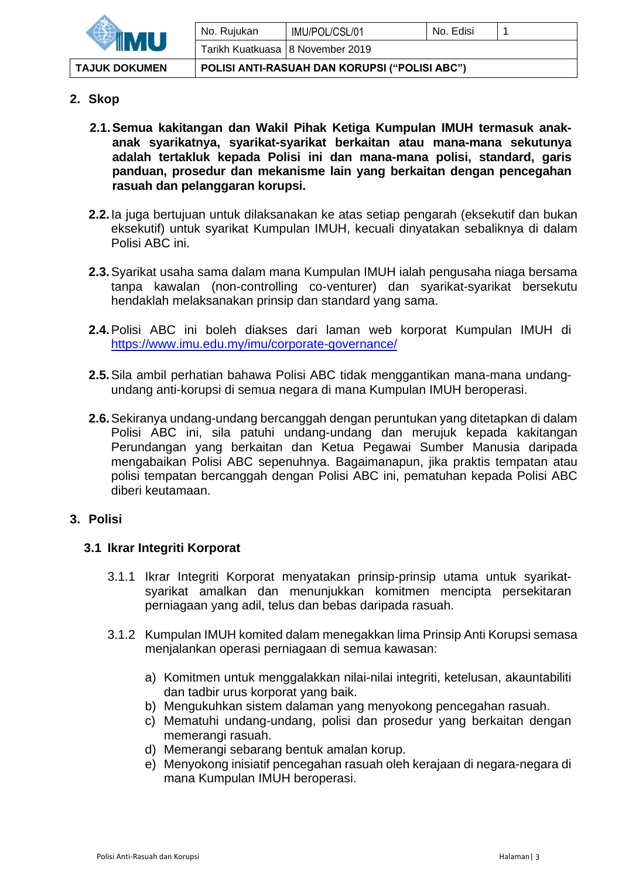| <b>TAJUK DOKUMEN</b> | POLISI ANTI-RASUAH DAN KORUPSI ("POLISI ABC") |                                    |  |  |  |
|----------------------|-----------------------------------------------|------------------------------------|--|--|--|
|                      |                                               | Tarikh Kuatkuasa   8 November 2019 |  |  |  |
|                      | No. Ruiukan                                   | IMU/POL/CSL/01<br>No. Edisi        |  |  |  |
|                      |                                               |                                    |  |  |  |

## **2. Skop**

- **2.1.Semua kakitangan dan Wakil Pihak Ketiga Kumpulan IMUH termasuk anakanak syarikatnya, syarikat-syarikat berkaitan atau mana-mana sekutunya adalah tertakluk kepada Polisi ini dan mana-mana polisi, standard, garis panduan, prosedur dan mekanisme lain yang berkaitan dengan pencegahan rasuah dan pelanggaran korupsi.**
- **2.2.**Ia juga bertujuan untuk dilaksanakan ke atas setiap pengarah (eksekutif dan bukan eksekutif) untuk syarikat Kumpulan IMUH, kecuali dinyatakan sebaliknya di dalam Polisi ABC ini.
- **2.3.**Syarikat usaha sama dalam mana Kumpulan IMUH ialah pengusaha niaga bersama tanpa kawalan (non-controlling co-venturer) dan syarikat-syarikat bersekutu hendaklah melaksanakan prinsip dan standard yang sama.
- **2.4.**Polisi ABC ini boleh diakses dari laman web korporat Kumpulan IMUH di <https://www.imu.edu.my/imu/corporate-governance/>
- **2.5.**Sila ambil perhatian bahawa Polisi ABC tidak menggantikan mana-mana undangundang anti-korupsi di semua negara di mana Kumpulan IMUH beroperasi.
- **2.6.**Sekiranya undang-undang bercanggah dengan peruntukan yang ditetapkan di dalam Polisi ABC ini, sila patuhi undang-undang dan merujuk kepada kakitangan Perundangan yang berkaitan dan Ketua Pegawai Sumber Manusia daripada mengabaikan Polisi ABC sepenuhnya. Bagaimanapun, jika praktis tempatan atau polisi tempatan bercanggah dengan Polisi ABC ini, pematuhan kepada Polisi ABC diberi keutamaan.

## **3. Polisi**

## **3.1 Ikrar Integriti Korporat**

- 3.1.1 Ikrar Integriti Korporat menyatakan prinsip-prinsip utama untuk syarikatsyarikat amalkan dan menunjukkan komitmen mencipta persekitaran perniagaan yang adil, telus dan bebas daripada rasuah.
- 3.1.2 Kumpulan IMUH komited dalam menegakkan lima Prinsip Anti Korupsi semasa menjalankan operasi perniagaan di semua kawasan:
	- a) Komitmen untuk menggalakkan nilai-nilai integriti, ketelusan, akauntabiliti dan tadbir urus korporat yang baik.
	- b) Mengukuhkan sistem dalaman yang menyokong pencegahan rasuah.
	- c) Mematuhi undang-undang, polisi dan prosedur yang berkaitan dengan memerangi rasuah.
	- d) Memerangi sebarang bentuk amalan korup.
	- e) Menyokong inisiatif pencegahan rasuah oleh kerajaan di negara-negara di mana Kumpulan IMUH beroperasi.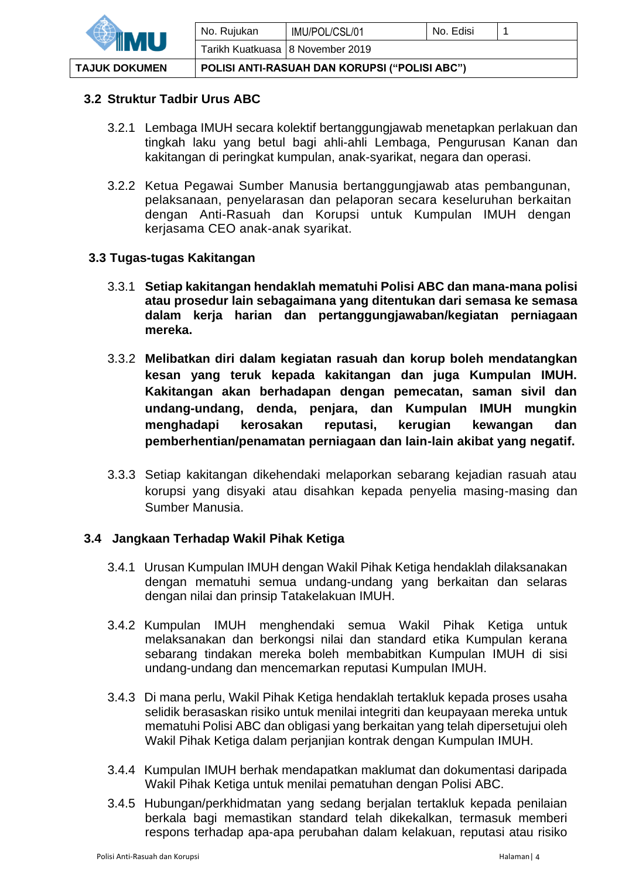

## **3.2 Struktur Tadbir Urus ABC**

- 3.2.1 Lembaga IMUH secara kolektif bertanggungjawab menetapkan perlakuan dan tingkah laku yang betul bagi ahli-ahli Lembaga, Pengurusan Kanan dan kakitangan di peringkat kumpulan, anak-syarikat, negara dan operasi.
- 3.2.2 Ketua Pegawai Sumber Manusia bertanggungjawab atas pembangunan, pelaksanaan, penyelarasan dan pelaporan secara keseluruhan berkaitan dengan Anti-Rasuah dan Korupsi untuk Kumpulan IMUH dengan kerjasama CEO anak-anak syarikat.

#### **3.3 Tugas-tugas Kakitangan**

- 3.3.1 **Setiap kakitangan hendaklah mematuhi Polisi ABC dan mana-mana polisi atau prosedur lain sebagaimana yang ditentukan dari semasa ke semasa dalam kerja harian dan pertanggungjawaban/kegiatan perniagaan mereka.**
- 3.3.2 **Melibatkan diri dalam kegiatan rasuah dan korup boleh mendatangkan kesan yang teruk kepada kakitangan dan juga Kumpulan IMUH. Kakitangan akan berhadapan dengan pemecatan, saman sivil dan undang-undang, denda, penjara, dan Kumpulan IMUH mungkin menghadapi kerosakan reputasi, kerugian kewangan dan pemberhentian/penamatan perniagaan dan lain-lain akibat yang negatif.**
- 3.3.3 Setiap kakitangan dikehendaki melaporkan sebarang kejadian rasuah atau korupsi yang disyaki atau disahkan kepada penyelia masing-masing dan Sumber Manusia.

## **3.4 Jangkaan Terhadap Wakil Pihak Ketiga**

- 3.4.1 Urusan Kumpulan IMUH dengan Wakil Pihak Ketiga hendaklah dilaksanakan dengan mematuhi semua undang-undang yang berkaitan dan selaras dengan nilai dan prinsip Tatakelakuan IMUH.
- 3.4.2 Kumpulan IMUH menghendaki semua Wakil Pihak Ketiga untuk melaksanakan dan berkongsi nilai dan standard etika Kumpulan kerana sebarang tindakan mereka boleh membabitkan Kumpulan IMUH di sisi undang-undang dan mencemarkan reputasi Kumpulan IMUH.
- 3.4.3 Di mana perlu, Wakil Pihak Ketiga hendaklah tertakluk kepada proses usaha selidik berasaskan risiko untuk menilai integriti dan keupayaan mereka untuk mematuhi Polisi ABC dan obligasi yang berkaitan yang telah dipersetujui oleh Wakil Pihak Ketiga dalam perjanjian kontrak dengan Kumpulan IMUH.
- 3.4.4 Kumpulan IMUH berhak mendapatkan maklumat dan dokumentasi daripada Wakil Pihak Ketiga untuk menilai pematuhan dengan Polisi ABC.
- 3.4.5 Hubungan/perkhidmatan yang sedang berjalan tertakluk kepada penilaian berkala bagi memastikan standard telah dikekalkan, termasuk memberi respons terhadap apa-apa perubahan dalam kelakuan, reputasi atau risiko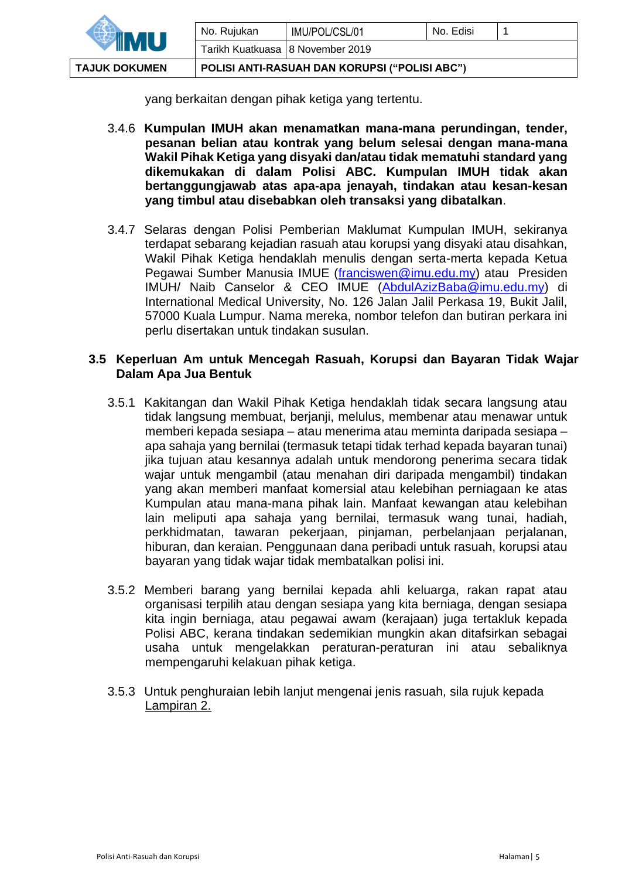|                      | No. Rujukan                                   | IMU/POL/CSL/01 | No. Edisi |  |
|----------------------|-----------------------------------------------|----------------|-----------|--|
|                      | Tarikh Kuatkuasa   8 November 2019            |                |           |  |
| <b>TAJUK DOKUMEN</b> | POLISI ANTI-RASUAH DAN KORUPSI ("POLISI ABC") |                |           |  |

yang berkaitan dengan pihak ketiga yang tertentu.

- 3.4.6 **Kumpulan IMUH akan menamatkan mana-mana perundingan, tender, pesanan belian atau kontrak yang belum selesai dengan mana-mana Wakil Pihak Ketiga yang disyaki dan/atau tidak mematuhi standard yang dikemukakan di dalam Polisi ABC. Kumpulan IMUH tidak akan bertanggungjawab atas apa-apa jenayah, tindakan atau kesan-kesan yang timbul atau disebabkan oleh transaksi yang dibatalkan**.
- 3.4.7 Selaras dengan Polisi Pemberian Maklumat Kumpulan IMUH, sekiranya terdapat sebarang kejadian rasuah atau korupsi yang disyaki atau disahkan, Wakil Pihak Ketiga hendaklah menulis dengan serta-merta kepada Ketua Pegawai Sumber Manusia IMUE [\(franciswen@imu.edu.my\)](mailto:franciswen@imu.edu.my) atau Presiden IMUH/ Naib Canselor & CEO IMUE [\(AbdulAzizBaba@imu.edu.my\)](mailto:AbdulAzizBaba@imu.edu.my) di International Medical University, No. 126 Jalan Jalil Perkasa 19, Bukit Jalil, 57000 Kuala Lumpur. Nama mereka, nombor telefon dan butiran perkara ini perlu disertakan untuk tindakan susulan.

## **3.5 Keperluan Am untuk Mencegah Rasuah, Korupsi dan Bayaran Tidak Wajar Dalam Apa Jua Bentuk**

- 3.5.1 Kakitangan dan Wakil Pihak Ketiga hendaklah tidak secara langsung atau tidak langsung membuat, berjanji, melulus, membenar atau menawar untuk memberi kepada sesiapa – atau menerima atau meminta daripada sesiapa – apa sahaja yang bernilai (termasuk tetapi tidak terhad kepada bayaran tunai) jika tujuan atau kesannya adalah untuk mendorong penerima secara tidak wajar untuk mengambil (atau menahan diri daripada mengambil) tindakan yang akan memberi manfaat komersial atau kelebihan perniagaan ke atas Kumpulan atau mana-mana pihak lain. Manfaat kewangan atau kelebihan lain meliputi apa sahaja yang bernilai, termasuk wang tunai, hadiah, perkhidmatan, tawaran pekerjaan, pinjaman, perbelanjaan perjalanan, hiburan, dan keraian. Penggunaan dana peribadi untuk rasuah, korupsi atau bayaran yang tidak wajar tidak membatalkan polisi ini.
- 3.5.2 Memberi barang yang bernilai kepada ahli keluarga, rakan rapat atau organisasi terpilih atau dengan sesiapa yang kita berniaga, dengan sesiapa kita ingin berniaga, atau pegawai awam (kerajaan) juga tertakluk kepada Polisi ABC, kerana tindakan sedemikian mungkin akan ditafsirkan sebagai usaha untuk mengelakkan peraturan-peraturan ini atau sebaliknya mempengaruhi kelakuan pihak ketiga.
- 3.5.3 Untuk penghuraian lebih lanjut mengenai jenis rasuah, sila rujuk kepada Lampiran 2.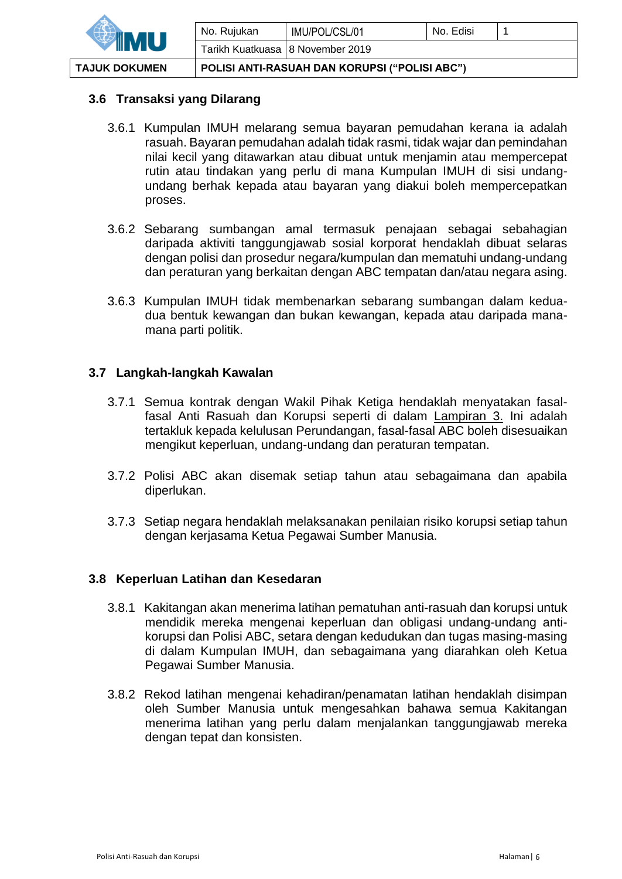| TAJUK DOKUMEN | POLISI ANTI-RASUAH DAN KORUPSI ("POLISI ABC") |                |           |  |  |
|---------------|-----------------------------------------------|----------------|-----------|--|--|
|               | Tarikh Kuatkuasa 18 November 2019             |                |           |  |  |
|               | No. Ruiukan                                   | IMU/POL/CSL/01 | No. Edisi |  |  |
|               |                                               |                |           |  |  |

## **3.6 Transaksi yang Dilarang**

- 3.6.1 Kumpulan IMUH melarang semua bayaran pemudahan kerana ia adalah rasuah. Bayaran pemudahan adalah tidak rasmi, tidak wajar dan pemindahan nilai kecil yang ditawarkan atau dibuat untuk menjamin atau mempercepat rutin atau tindakan yang perlu di mana Kumpulan IMUH di sisi undangundang berhak kepada atau bayaran yang diakui boleh mempercepatkan proses.
- 3.6.2 Sebarang sumbangan amal termasuk penajaan sebagai sebahagian daripada aktiviti tanggungjawab sosial korporat hendaklah dibuat selaras dengan polisi dan prosedur negara/kumpulan dan mematuhi undang-undang dan peraturan yang berkaitan dengan ABC tempatan dan/atau negara asing.
- 3.6.3 Kumpulan IMUH tidak membenarkan sebarang sumbangan dalam keduadua bentuk kewangan dan bukan kewangan, kepada atau daripada manamana parti politik.

## **3.7 Langkah-langkah Kawalan**

- 3.7.1 Semua kontrak dengan Wakil Pihak Ketiga hendaklah menyatakan fasalfasal Anti Rasuah dan Korupsi seperti di dalam Lampiran 3. Ini adalah tertakluk kepada kelulusan Perundangan, fasal-fasal ABC boleh disesuaikan mengikut keperluan, undang-undang dan peraturan tempatan.
- 3.7.2 Polisi ABC akan disemak setiap tahun atau sebagaimana dan apabila diperlukan.
- 3.7.3 Setiap negara hendaklah melaksanakan penilaian risiko korupsi setiap tahun dengan kerjasama Ketua Pegawai Sumber Manusia.

## **3.8 Keperluan Latihan dan Kesedaran**

- 3.8.1 Kakitangan akan menerima latihan pematuhan anti-rasuah dan korupsi untuk mendidik mereka mengenai keperluan dan obligasi undang-undang antikorupsi dan Polisi ABC, setara dengan kedudukan dan tugas masing-masing di dalam Kumpulan IMUH, dan sebagaimana yang diarahkan oleh Ketua Pegawai Sumber Manusia.
- 3.8.2 Rekod latihan mengenai kehadiran/penamatan latihan hendaklah disimpan oleh Sumber Manusia untuk mengesahkan bahawa semua Kakitangan menerima latihan yang perlu dalam menjalankan tanggungjawab mereka dengan tepat dan konsisten.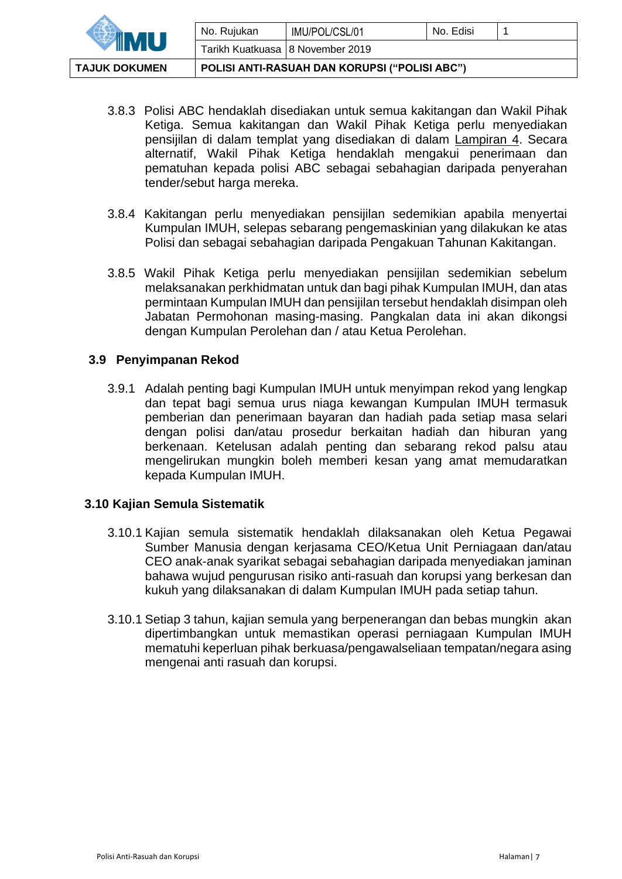| <b>TAJUK DOKUMEN</b> | POLISI ANTI-RASUAH DAN KORUPSI ("POLISI ABC") |                |           |  |  |  |
|----------------------|-----------------------------------------------|----------------|-----------|--|--|--|
|                      | Tarikh Kuatkuasa   8 November 2019            |                |           |  |  |  |
|                      | No. Rujukan                                   | IMU/POL/CSL/01 | No. Edisi |  |  |  |
|                      |                                               |                |           |  |  |  |

- 3.8.3 Polisi ABC hendaklah disediakan untuk semua kakitangan dan Wakil Pihak Ketiga. Semua kakitangan dan Wakil Pihak Ketiga perlu menyediakan pensijilan di dalam templat yang disediakan di dalam Lampiran 4. Secara alternatif, Wakil Pihak Ketiga hendaklah mengakui penerimaan dan pematuhan kepada polisi ABC sebagai sebahagian daripada penyerahan tender/sebut harga mereka.
- 3.8.4 Kakitangan perlu menyediakan pensijilan sedemikian apabila menyertai Kumpulan IMUH, selepas sebarang pengemaskinian yang dilakukan ke atas Polisi dan sebagai sebahagian daripada Pengakuan Tahunan Kakitangan.
- 3.8.5 Wakil Pihak Ketiga perlu menyediakan pensijilan sedemikian sebelum melaksanakan perkhidmatan untuk dan bagi pihak Kumpulan IMUH, dan atas permintaan Kumpulan IMUH dan pensijilan tersebut hendaklah disimpan oleh Jabatan Permohonan masing-masing. Pangkalan data ini akan dikongsi dengan Kumpulan Perolehan dan / atau Ketua Perolehan.

## **3.9 Penyimpanan Rekod**

3.9.1 Adalah penting bagi Kumpulan IMUH untuk menyimpan rekod yang lengkap dan tepat bagi semua urus niaga kewangan Kumpulan IMUH termasuk pemberian dan penerimaan bayaran dan hadiah pada setiap masa selari dengan polisi dan/atau prosedur berkaitan hadiah dan hiburan yang berkenaan. Ketelusan adalah penting dan sebarang rekod palsu atau mengelirukan mungkin boleh memberi kesan yang amat memudaratkan kepada Kumpulan IMUH.

## **3.10 Kajian Semula Sistematik**

- 3.10.1 Kajian semula sistematik hendaklah dilaksanakan oleh Ketua Pegawai Sumber Manusia dengan kerjasama CEO/Ketua Unit Perniagaan dan/atau CEO anak-anak syarikat sebagai sebahagian daripada menyediakan jaminan bahawa wujud pengurusan risiko anti-rasuah dan korupsi yang berkesan dan kukuh yang dilaksanakan di dalam Kumpulan IMUH pada setiap tahun.
- 3.10.1 Setiap 3 tahun, kajian semula yang berpenerangan dan bebas mungkin akan dipertimbangkan untuk memastikan operasi perniagaan Kumpulan IMUH mematuhi keperluan pihak berkuasa/pengawalseliaan tempatan/negara asing mengenai anti rasuah dan korupsi.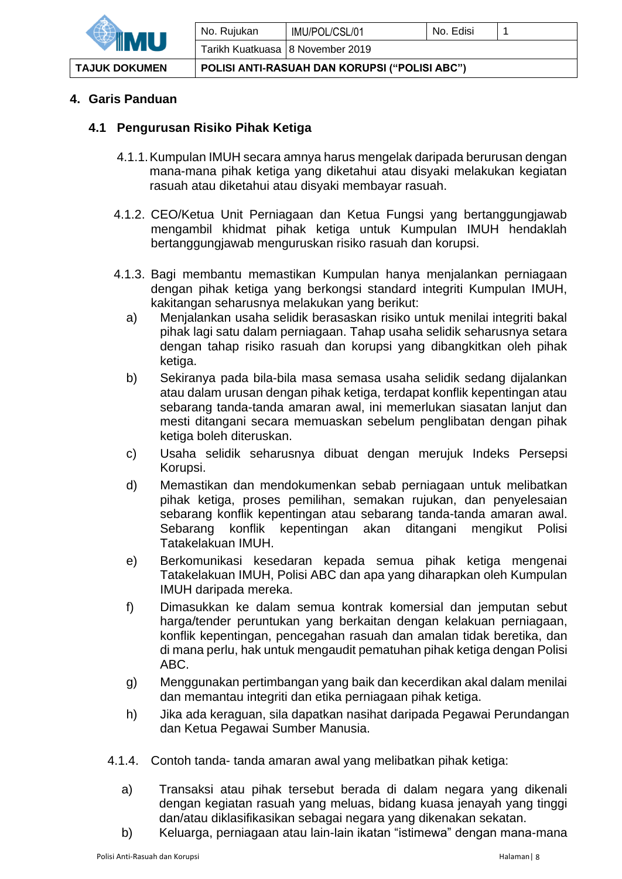

No. Rujukan | IMU/POL/CSL/01 | No. Edisi | 1 Tarikh Kuatkuasa 8 November 2019

**TAJUK DOKUMEN POLISI ANTI-RASUAH DAN KORUPSI ("POLISI ABC")**

# **4. Garis Panduan**

## **4.1 Pengurusan Risiko Pihak Ketiga**

- 4.1.1.Kumpulan IMUH secara amnya harus mengelak daripada berurusan dengan mana-mana pihak ketiga yang diketahui atau disyaki melakukan kegiatan rasuah atau diketahui atau disyaki membayar rasuah.
- 4.1.2. CEO/Ketua Unit Perniagaan dan Ketua Fungsi yang bertanggungjawab mengambil khidmat pihak ketiga untuk Kumpulan IMUH hendaklah bertanggungjawab menguruskan risiko rasuah dan korupsi.
- 4.1.3. Bagi membantu memastikan Kumpulan hanya menjalankan perniagaan dengan pihak ketiga yang berkongsi standard integriti Kumpulan IMUH, kakitangan seharusnya melakukan yang berikut:
	- a) Menjalankan usaha selidik berasaskan risiko untuk menilai integriti bakal pihak lagi satu dalam perniagaan. Tahap usaha selidik seharusnya setara dengan tahap risiko rasuah dan korupsi yang dibangkitkan oleh pihak ketiga.
	- b) Sekiranya pada bila-bila masa semasa usaha selidik sedang dijalankan atau dalam urusan dengan pihak ketiga, terdapat konflik kepentingan atau sebarang tanda-tanda amaran awal, ini memerlukan siasatan lanjut dan mesti ditangani secara memuaskan sebelum penglibatan dengan pihak ketiga boleh diteruskan.
	- c) Usaha selidik seharusnya dibuat dengan merujuk Indeks Persepsi Korupsi.
	- d) Memastikan dan mendokumenkan sebab perniagaan untuk melibatkan pihak ketiga, proses pemilihan, semakan rujukan, dan penyelesaian sebarang konflik kepentingan atau sebarang tanda-tanda amaran awal. Sebarang konflik kepentingan akan ditangani mengikut Polisi Tatakelakuan IMUH.
	- e) Berkomunikasi kesedaran kepada semua pihak ketiga mengenai Tatakelakuan IMUH, Polisi ABC dan apa yang diharapkan oleh Kumpulan IMUH daripada mereka.
	- f) Dimasukkan ke dalam semua kontrak komersial dan jemputan sebut harga/tender peruntukan yang berkaitan dengan kelakuan perniagaan, konflik kepentingan, pencegahan rasuah dan amalan tidak beretika, dan di mana perlu, hak untuk mengaudit pematuhan pihak ketiga dengan Polisi ABC.
	- g) Menggunakan pertimbangan yang baik dan kecerdikan akal dalam menilai dan memantau integriti dan etika perniagaan pihak ketiga.
	- h) Jika ada keraguan, sila dapatkan nasihat daripada Pegawai Perundangan dan Ketua Pegawai Sumber Manusia.
- 4.1.4. Contoh tanda- tanda amaran awal yang melibatkan pihak ketiga:
	- a) Transaksi atau pihak tersebut berada di dalam negara yang dikenali dengan kegiatan rasuah yang meluas, bidang kuasa jenayah yang tinggi dan/atau diklasifikasikan sebagai negara yang dikenakan sekatan.
	- b) Keluarga, perniagaan atau lain-lain ikatan "istimewa" dengan mana-mana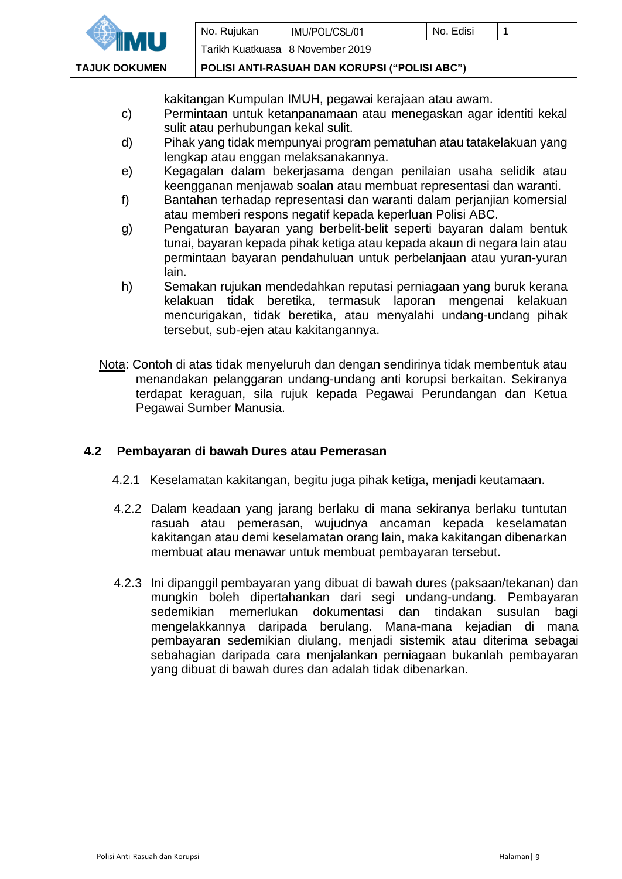| <b>TAJUK DOKUMEN</b> |                                   | POLISI ANTI-RASUAH DAN KORUPSI ("POLISI ABC") |           |  |
|----------------------|-----------------------------------|-----------------------------------------------|-----------|--|
|                      | Tarikh Kuatkuasa 18 November 2019 |                                               |           |  |
|                      | No. Rujukan                       | IMU/POL/CSL/01                                | No. Edisi |  |
|                      |                                   |                                               |           |  |

- kakitangan Kumpulan IMUH, pegawai kerajaan atau awam. c) Permintaan untuk ketanpanamaan atau menegaskan agar identiti kekal sulit atau perhubungan kekal sulit.
- d) Pihak yang tidak mempunyai program pematuhan atau tatakelakuan yang lengkap atau enggan melaksanakannya.
- e) Kegagalan dalam bekerjasama dengan penilaian usaha selidik atau keengganan menjawab soalan atau membuat representasi dan waranti.
- f) Bantahan terhadap representasi dan waranti dalam perjanjian komersial atau memberi respons negatif kepada keperluan Polisi ABC.
- g) Pengaturan bayaran yang berbelit-belit seperti bayaran dalam bentuk tunai, bayaran kepada pihak ketiga atau kepada akaun di negara lain atau permintaan bayaran pendahuluan untuk perbelanjaan atau yuran-yuran lain.
- h) Semakan rujukan mendedahkan reputasi perniagaan yang buruk kerana kelakuan tidak beretika, termasuk laporan mengenai kelakuan mencurigakan, tidak beretika, atau menyalahi undang-undang pihak tersebut, sub-ejen atau kakitangannya.
- Nota: Contoh di atas tidak menyeluruh dan dengan sendirinya tidak membentuk atau menandakan pelanggaran undang-undang anti korupsi berkaitan. Sekiranya terdapat keraguan, sila rujuk kepada Pegawai Perundangan dan Ketua Pegawai Sumber Manusia.

# **4.2 Pembayaran di bawah Dures atau Pemerasan**

- 4.2.1 Keselamatan kakitangan, begitu juga pihak ketiga, menjadi keutamaan.
- 4.2.2 Dalam keadaan yang jarang berlaku di mana sekiranya berlaku tuntutan rasuah atau pemerasan, wujudnya ancaman kepada keselamatan kakitangan atau demi keselamatan orang lain, maka kakitangan dibenarkan membuat atau menawar untuk membuat pembayaran tersebut.
- 4.2.3 Ini dipanggil pembayaran yang dibuat di bawah dures (paksaan/tekanan) dan mungkin boleh dipertahankan dari segi undang-undang. Pembayaran sedemikian memerlukan dokumentasi dan tindakan susulan bagi mengelakkannya daripada berulang. Mana-mana kejadian di mana pembayaran sedemikian diulang, menjadi sistemik atau diterima sebagai sebahagian daripada cara menjalankan perniagaan bukanlah pembayaran yang dibuat di bawah dures dan adalah tidak dibenarkan.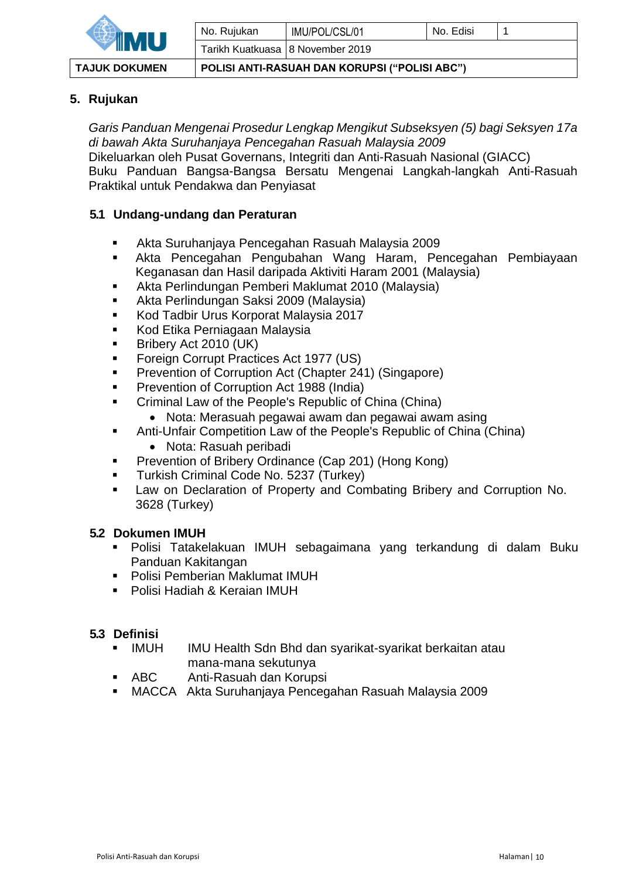

No. Rujukan | IMU/POL/CSL/01 | No. Edisi | 1 Tarikh Kuatkuasa 8 November 2019

**TAJUK DOKUMEN POLISI ANTI-RASUAH DAN KORUPSI ("POLISI ABC")**

## **5. Rujukan**

*Garis Panduan Mengenai Prosedur Lengkap Mengikut Subseksyen (5) bagi Seksyen 17a di bawah Akta Suruhanjaya Pencegahan Rasuah Malaysia 2009*

Dikeluarkan oleh Pusat Governans, Integriti dan Anti-Rasuah Nasional (GIACC) Buku Panduan Bangsa-Bangsa Bersatu Mengenai Langkah-langkah Anti-Rasuah Praktikal untuk Pendakwa dan Penyiasat

## **5.1 Undang-undang dan Peraturan**

- Akta Suruhanjaya Pencegahan Rasuah Malaysia 2009
- Akta Pencegahan Pengubahan Wang Haram, Pencegahan Pembiayaan Keganasan dan Hasil daripada Aktiviti Haram 2001 (Malaysia)
- Akta Perlindungan Pemberi Maklumat 2010 (Malaysia)
- Akta Perlindungan Saksi 2009 (Malaysia)
- Kod Tadbir Urus Korporat Malaysia 2017
- Kod Etika Perniagaan Malaysia
- Bribery Act 2010 (UK)
- Foreign Corrupt Practices Act 1977 (US)
- Prevention of Corruption Act (Chapter 241) (Singapore)
- Prevention of Corruption Act 1988 (India)
- Criminal Law of the People's Republic of China (China)
	- Nota: Merasuah pegawai awam dan pegawai awam asing
- Anti-Unfair Competition Law of the People's Republic of China (China)
	- Nota: Rasuah peribadi
- Prevention of Bribery Ordinance (Cap 201) (Hong Kong)
- Turkish Criminal Code No. 5237 (Turkey)
- Law on Declaration of Property and Combating Bribery and Corruption No. 3628 (Turkey)

## **5.2 Dokumen IMUH**

- Polisi Tatakelakuan IMUH sebagaimana yang terkandung di dalam Buku Panduan Kakitangan
- Polisi Pemberian Maklumat IMUH
- Polisi Hadiah & Keraian IMUH

## **5.3 Definisi**

- **IMUH** IMU Health Sdn Bhd dan syarikat-syarikat berkaitan atau mana-mana sekutunya
- ABC Anti-Rasuah dan Korupsi
- MACCA Akta Suruhanjaya Pencegahan Rasuah Malaysia 2009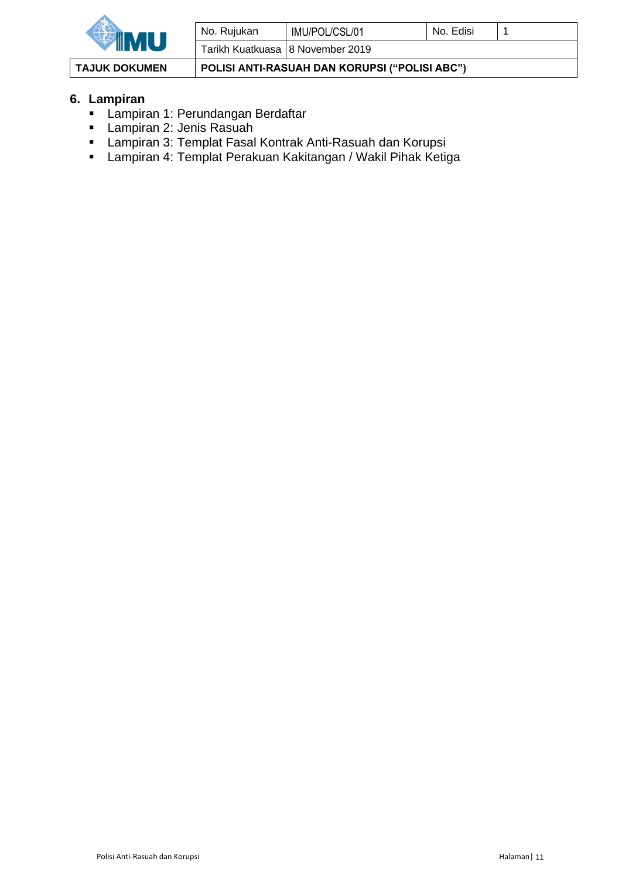| M                    |
|----------------------|
| <b>TAJUK DOKUMEN</b> |

No. Rujukan | IMU/POL/CSL/01 | No. Edisi | 1 Tarikh Kuatkuasa 8 November 2019

**POLISI ANTI-RASUAH DAN KORUPSI ("POLISI ABC")** 

# **6. Lampiran**

- **E** Lampiran 1: Perundangan Berdaftar
- **E** Lampiran 2: Jenis Rasuah
- Lampiran 3: Templat Fasal Kontrak Anti-Rasuah dan Korupsi
- Lampiran 4: Templat Perakuan Kakitangan / Wakil Pihak Ketiga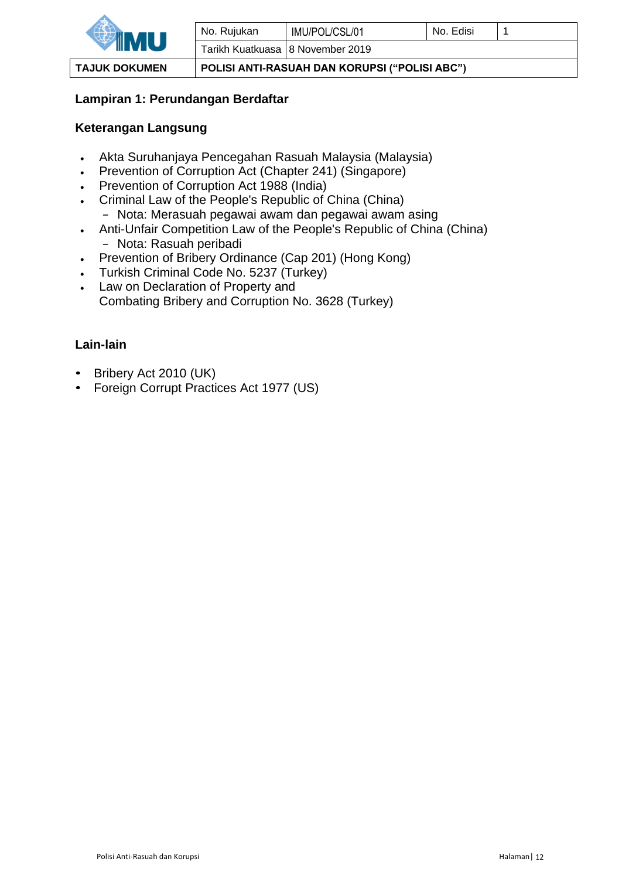

**TAJUK DOKUMEN POLISI ANTI-RASUAH DAN KORUPSI ("POLISI ABC")**

## **Lampiran 1: Perundangan Berdaftar**

## **Keterangan Langsung**

- Akta Suruhanjaya Pencegahan Rasuah Malaysia (Malaysia)
- Prevention of Corruption Act (Chapter 241) (Singapore)
- Prevention of Corruption Act 1988 (India)
- Criminal Law of the People's Republic of China (China) − Nota: Merasuah pegawai awam dan pegawai awam asing
- Anti-Unfair Competition Law of the People's Republic of China (China)
	- − Nota: Rasuah peribadi
- Prevention of Bribery Ordinance (Cap 201) (Hong Kong)
- Turkish Criminal Code No. 5237 (Turkey)
- Law on Declaration of Property and Combating Bribery and Corruption No. 3628 (Turkey)

## **Lain-lain**

- Bribery Act 2010 (UK)
- Foreign Corrupt Practices Act 1977 (US)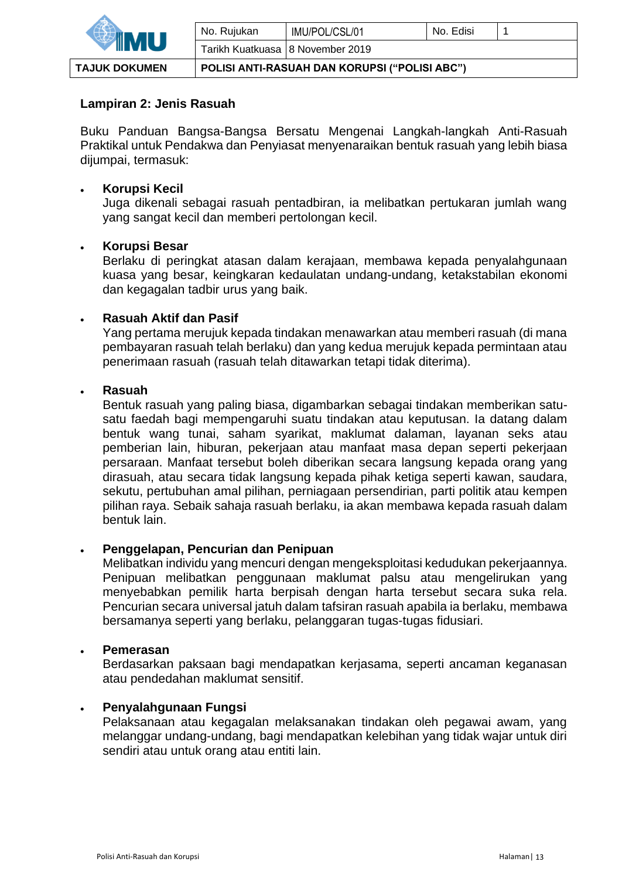

#### **Lampiran 2: Jenis Rasuah**

Buku Panduan Bangsa-Bangsa Bersatu Mengenai Langkah-langkah Anti-Rasuah Praktikal untuk Pendakwa dan Penyiasat menyenaraikan bentuk rasuah yang lebih biasa dijumpai, termasuk:

#### • **Korupsi Kecil**

Juga dikenali sebagai rasuah pentadbiran, ia melibatkan pertukaran jumlah wang yang sangat kecil dan memberi pertolongan kecil.

#### • **Korupsi Besar**

Berlaku di peringkat atasan dalam kerajaan, membawa kepada penyalahgunaan kuasa yang besar, keingkaran kedaulatan undang-undang, ketakstabilan ekonomi dan kegagalan tadbir urus yang baik.

#### • **Rasuah Aktif dan Pasif**

Yang pertama merujuk kepada tindakan menawarkan atau memberi rasuah (di mana pembayaran rasuah telah berlaku) dan yang kedua merujuk kepada permintaan atau penerimaan rasuah (rasuah telah ditawarkan tetapi tidak diterima).

#### • **Rasuah**

Bentuk rasuah yang paling biasa, digambarkan sebagai tindakan memberikan satusatu faedah bagi mempengaruhi suatu tindakan atau keputusan. Ia datang dalam bentuk wang tunai, saham syarikat, maklumat dalaman, layanan seks atau pemberian lain, hiburan, pekerjaan atau manfaat masa depan seperti pekerjaan persaraan. Manfaat tersebut boleh diberikan secara langsung kepada orang yang dirasuah, atau secara tidak langsung kepada pihak ketiga seperti kawan, saudara, sekutu, pertubuhan amal pilihan, perniagaan persendirian, parti politik atau kempen pilihan raya. Sebaik sahaja rasuah berlaku, ia akan membawa kepada rasuah dalam bentuk lain.

#### • **Penggelapan, Pencurian dan Penipuan**

Melibatkan individu yang mencuri dengan mengeksploitasi kedudukan pekerjaannya. Penipuan melibatkan penggunaan maklumat palsu atau mengelirukan yang menyebabkan pemilik harta berpisah dengan harta tersebut secara suka rela. Pencurian secara universal jatuh dalam tafsiran rasuah apabila ia berlaku, membawa bersamanya seperti yang berlaku, pelanggaran tugas-tugas fidusiari.

#### • **Pemerasan**

Berdasarkan paksaan bagi mendapatkan kerjasama, seperti ancaman keganasan atau pendedahan maklumat sensitif.

#### • **Penyalahgunaan Fungsi**

Pelaksanaan atau kegagalan melaksanakan tindakan oleh pegawai awam, yang melanggar undang-undang, bagi mendapatkan kelebihan yang tidak wajar untuk diri sendiri atau untuk orang atau entiti lain.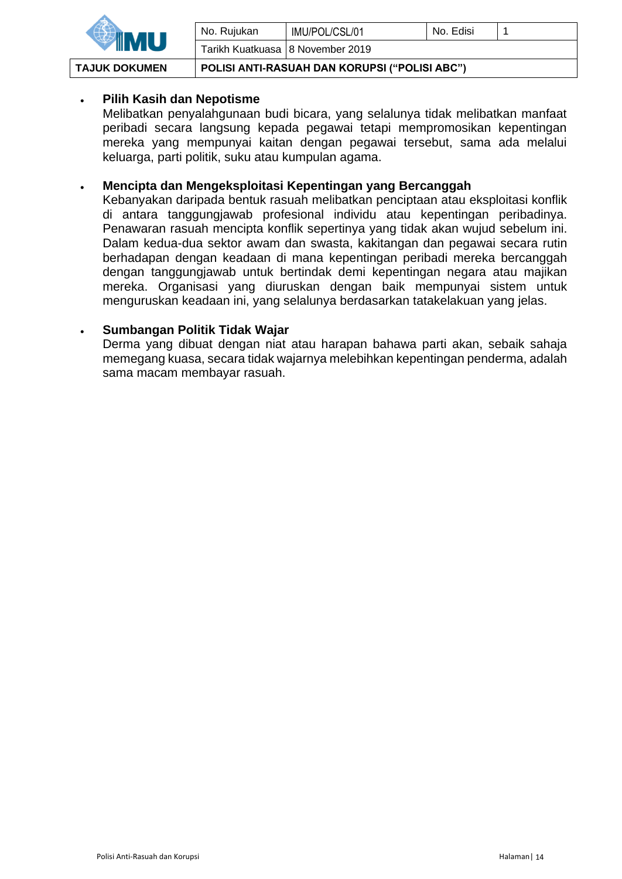

#### **TAJUK DOKUMEN POLISI ANTI-RASUAH DAN KORUPSI ("POLISI ABC")**

## • **Pilih Kasih dan Nepotisme**

Melibatkan penyalahgunaan budi bicara, yang selalunya tidak melibatkan manfaat peribadi secara langsung kepada pegawai tetapi mempromosikan kepentingan mereka yang mempunyai kaitan dengan pegawai tersebut, sama ada melalui keluarga, parti politik, suku atau kumpulan agama.

#### • **Mencipta dan Mengeksploitasi Kepentingan yang Bercanggah**

Kebanyakan daripada bentuk rasuah melibatkan penciptaan atau eksploitasi konflik di antara tanggungjawab profesional individu atau kepentingan peribadinya. Penawaran rasuah mencipta konflik sepertinya yang tidak akan wujud sebelum ini. Dalam kedua-dua sektor awam dan swasta, kakitangan dan pegawai secara rutin berhadapan dengan keadaan di mana kepentingan peribadi mereka bercanggah dengan tanggungjawab untuk bertindak demi kepentingan negara atau majikan mereka. Organisasi yang diuruskan dengan baik mempunyai sistem untuk menguruskan keadaan ini, yang selalunya berdasarkan tatakelakuan yang jelas.

#### • **Sumbangan Politik Tidak Wajar**

Derma yang dibuat dengan niat atau harapan bahawa parti akan, sebaik sahaja memegang kuasa, secara tidak wajarnya melebihkan kepentingan penderma, adalah sama macam membayar rasuah.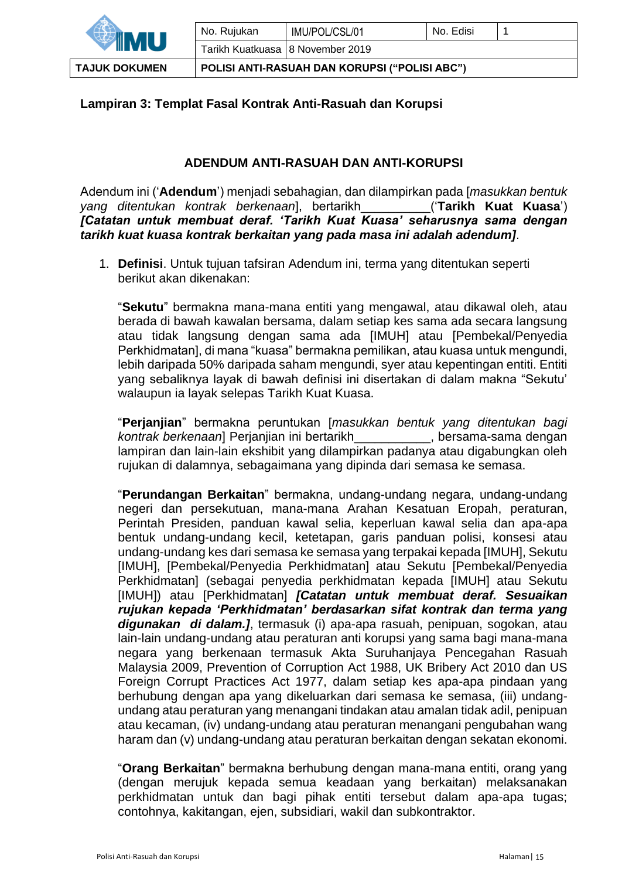| TAJUK DOKUMEN |                                    | POLISI ANTI-RASUAH DAN KORUPSI ("POLISI ABC") |           |  |
|---------------|------------------------------------|-----------------------------------------------|-----------|--|
| 1III          | Tarikh Kuatkuasa   8 November 2019 |                                               |           |  |
|               | No. Ruiukan                        | IMU/POL/CSL/01                                | No. Edisi |  |
|               |                                    |                                               |           |  |

#### **Lampiran 3: Templat Fasal Kontrak Anti-Rasuah dan Korupsi**

#### **ADENDUM ANTI-RASUAH DAN ANTI-KORUPSI**

Adendum ini ('**Adendum**') menjadi sebahagian, dan dilampirkan pada [*masukkan bentuk yang ditentukan kontrak berkenaan*], bertarikh\_\_\_\_\_\_\_\_\_\_('**Tarikh Kuat Kuasa**') *[Catatan untuk membuat deraf. 'Tarikh Kuat Kuasa' seharusnya sama dengan tarikh kuat kuasa kontrak berkaitan yang pada masa ini adalah adendum]*.

1. **Definisi**. Untuk tujuan tafsiran Adendum ini, terma yang ditentukan seperti berikut akan dikenakan:

"**Sekutu**" bermakna mana-mana entiti yang mengawal, atau dikawal oleh, atau berada di bawah kawalan bersama, dalam setiap kes sama ada secara langsung atau tidak langsung dengan sama ada [IMUH] atau [Pembekal/Penyedia Perkhidmatan], di mana "kuasa" bermakna pemilikan, atau kuasa untuk mengundi, lebih daripada 50% daripada saham mengundi, syer atau kepentingan entiti. Entiti yang sebaliknya layak di bawah definisi ini disertakan di dalam makna "Sekutu' walaupun ia layak selepas Tarikh Kuat Kuasa.

"**Perjanjian**" bermakna peruntukan [*masukkan bentuk yang ditentukan bagi kontrak berkenaan*] Perjanjian ini bertarikh\_\_\_\_\_\_\_\_\_\_\_, bersama-sama dengan lampiran dan lain-lain ekshibit yang dilampirkan padanya atau digabungkan oleh rujukan di dalamnya, sebagaimana yang dipinda dari semasa ke semasa.

"**Perundangan Berkaitan**" bermakna, undang-undang negara, undang-undang negeri dan persekutuan, mana-mana Arahan Kesatuan Eropah, peraturan, Perintah Presiden, panduan kawal selia, keperluan kawal selia dan apa-apa bentuk undang-undang kecil, ketetapan, garis panduan polisi, konsesi atau undang-undang kes dari semasa ke semasa yang terpakai kepada [IMUH], Sekutu [IMUH], [Pembekal/Penyedia Perkhidmatan] atau Sekutu [Pembekal/Penyedia Perkhidmatan] (sebagai penyedia perkhidmatan kepada [IMUH] atau Sekutu [IMUH]) atau [Perkhidmatan] *[Catatan untuk membuat deraf. Sesuaikan rujukan kepada 'Perkhidmatan' berdasarkan sifat kontrak dan terma yang digunakan di dalam.]*, termasuk (i) apa-apa rasuah, penipuan, sogokan, atau lain-lain undang-undang atau peraturan anti korupsi yang sama bagi mana-mana negara yang berkenaan termasuk Akta Suruhanjaya Pencegahan Rasuah Malaysia 2009, Prevention of Corruption Act 1988, UK Bribery Act 2010 dan US Foreign Corrupt Practices Act 1977, dalam setiap kes apa-apa pindaan yang berhubung dengan apa yang dikeluarkan dari semasa ke semasa, (iii) undangundang atau peraturan yang menangani tindakan atau amalan tidak adil, penipuan atau kecaman, (iv) undang-undang atau peraturan menangani pengubahan wang haram dan (v) undang-undang atau peraturan berkaitan dengan sekatan ekonomi.

"**Orang Berkaitan**" bermakna berhubung dengan mana-mana entiti, orang yang (dengan merujuk kepada semua keadaan yang berkaitan) melaksanakan perkhidmatan untuk dan bagi pihak entiti tersebut dalam apa-apa tugas; contohnya, kakitangan, ejen, subsidiari, wakil dan subkontraktor.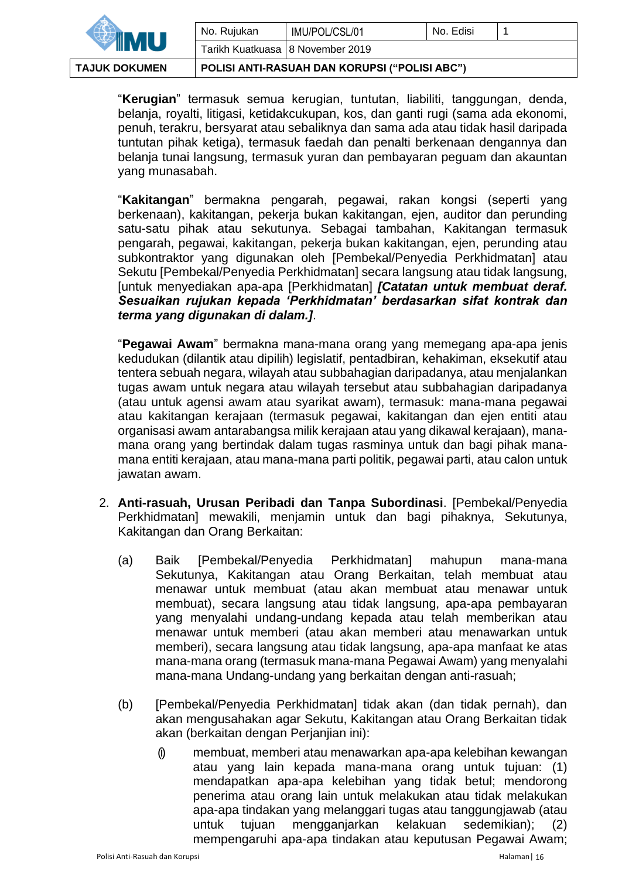

No. Rujukan | IMU/POL/CSL/01 | No. Edisi | 1 Tarikh Kuatkuasa 8 November 2019

**TAJUK DOKUMEN POLISI ANTI-RASUAH DAN KORUPSI ("POLISI ABC")**

"**Kerugian**" termasuk semua kerugian, tuntutan, liabiliti, tanggungan, denda, belanja, royalti, litigasi, ketidakcukupan, kos, dan ganti rugi (sama ada ekonomi, penuh, terakru, bersyarat atau sebaliknya dan sama ada atau tidak hasil daripada tuntutan pihak ketiga), termasuk faedah dan penalti berkenaan dengannya dan belanja tunai langsung, termasuk yuran dan pembayaran peguam dan akauntan yang munasabah.

"**Kakitangan**" bermakna pengarah, pegawai, rakan kongsi (seperti yang berkenaan), kakitangan, pekerja bukan kakitangan, ejen, auditor dan perunding satu-satu pihak atau sekutunya. Sebagai tambahan, Kakitangan termasuk pengarah, pegawai, kakitangan, pekerja bukan kakitangan, ejen, perunding atau subkontraktor yang digunakan oleh [Pembekal/Penyedia Perkhidmatan] atau Sekutu [Pembekal/Penyedia Perkhidmatan] secara langsung atau tidak langsung, [untuk menyediakan apa-apa [Perkhidmatan] *[Catatan untuk membuat deraf. Sesuaikan rujukan kepada 'Perkhidmatan' berdasarkan sifat kontrak dan terma yang digunakan di dalam.]*.

"**Pegawai Awam**" bermakna mana-mana orang yang memegang apa-apa jenis kedudukan (dilantik atau dipilih) legislatif, pentadbiran, kehakiman, eksekutif atau tentera sebuah negara, wilayah atau subbahagian daripadanya, atau menjalankan tugas awam untuk negara atau wilayah tersebut atau subbahagian daripadanya (atau untuk agensi awam atau syarikat awam), termasuk: mana-mana pegawai atau kakitangan kerajaan (termasuk pegawai, kakitangan dan ejen entiti atau organisasi awam antarabangsa milik kerajaan atau yang dikawal kerajaan), manamana orang yang bertindak dalam tugas rasminya untuk dan bagi pihak manamana entiti kerajaan, atau mana-mana parti politik, pegawai parti, atau calon untuk jawatan awam.

- 2. **Anti-rasuah, Urusan Peribadi dan Tanpa Subordinasi**. [Pembekal/Penyedia Perkhidmatan] mewakili, menjamin untuk dan bagi pihaknya, Sekutunya, Kakitangan dan Orang Berkaitan:
	- (a) Baik [Pembekal/Penyedia Perkhidmatan] mahupun mana-mana Sekutunya, Kakitangan atau Orang Berkaitan, telah membuat atau menawar untuk membuat (atau akan membuat atau menawar untuk membuat), secara langsung atau tidak langsung, apa-apa pembayaran yang menyalahi undang-undang kepada atau telah memberikan atau menawar untuk memberi (atau akan memberi atau menawarkan untuk memberi), secara langsung atau tidak langsung, apa-apa manfaat ke atas mana-mana orang (termasuk mana-mana Pegawai Awam) yang menyalahi mana-mana Undang-undang yang berkaitan dengan anti-rasuah;
	- (b) [Pembekal/Penyedia Perkhidmatan] tidak akan (dan tidak pernah), dan akan mengusahakan agar Sekutu, Kakitangan atau Orang Berkaitan tidak akan (berkaitan dengan Perjanjian ini):
		- (i) membuat, memberi atau menawarkan apa-apa kelebihan kewangan atau yang lain kepada mana-mana orang untuk tujuan: (1) mendapatkan apa-apa kelebihan yang tidak betul; mendorong penerima atau orang lain untuk melakukan atau tidak melakukan apa-apa tindakan yang melanggari tugas atau tanggungjawab (atau untuk tujuan mengganjarkan kelakuan sedemikian); (2) mempengaruhi apa-apa tindakan atau keputusan Pegawai Awam;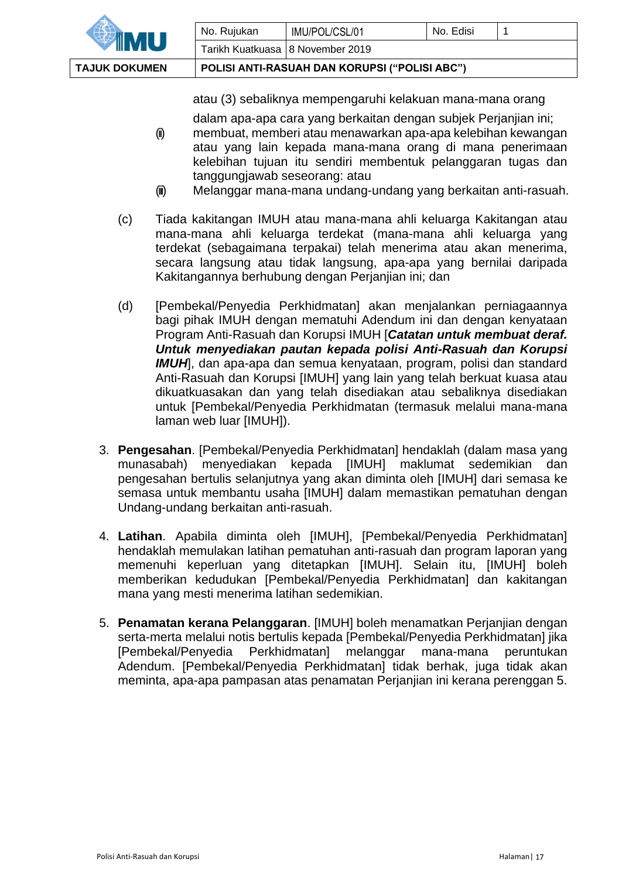| <b>TAJUK DOKUMEN</b> |                                    | POLISI ANTI-RASUAH DAN KORUPSI ("POLISI ABC") |           |  |
|----------------------|------------------------------------|-----------------------------------------------|-----------|--|
|                      | Tarikh Kuatkuasa   8 November 2019 |                                               |           |  |
|                      | No. Rujukan                        | IMU/POL/CSL/01                                | No. Edisi |  |
|                      |                                    |                                               |           |  |

atau (3) sebaliknya mempengaruhi kelakuan mana-mana orang

dalam apa-apa cara yang berkaitan dengan subjek Perjanjian ini;

- (ii) membuat, memberi atau menawarkan apa-apa kelebihan kewangan atau yang lain kepada mana-mana orang di mana penerimaan kelebihan tujuan itu sendiri membentuk pelanggaran tugas dan tanggungjawab seseorang: atau
- (iii) Melanggar mana-mana undang-undang yang berkaitan anti-rasuah.
- (c) Tiada kakitangan IMUH atau mana-mana ahli keluarga Kakitangan atau mana-mana ahli keluarga terdekat (mana-mana ahli keluarga yang terdekat (sebagaimana terpakai) telah menerima atau akan menerima, secara langsung atau tidak langsung, apa-apa yang bernilai daripada Kakitangannya berhubung dengan Perjanjian ini; dan
- (d) [Pembekal/Penyedia Perkhidmatan] akan menjalankan perniagaannya bagi pihak IMUH dengan mematuhi Adendum ini dan dengan kenyataan Program Anti-Rasuah dan Korupsi IMUH [*Catatan untuk membuat deraf. Untuk menyediakan pautan kepada polisi Anti-Rasuah dan Korupsi IMUH*], dan apa-apa dan semua kenyataan, program, polisi dan standard Anti-Rasuah dan Korupsi [IMUH] yang lain yang telah berkuat kuasa atau dikuatkuasakan dan yang telah disediakan atau sebaliknya disediakan untuk [Pembekal/Penyedia Perkhidmatan (termasuk melalui mana-mana laman web luar [IMUH]).
- 3. **Pengesahan**. [Pembekal/Penyedia Perkhidmatan] hendaklah (dalam masa yang munasabah) menyediakan kepada [IMUH] maklumat sedemikian dan pengesahan bertulis selanjutnya yang akan diminta oleh [IMUH] dari semasa ke semasa untuk membantu usaha [IMUH] dalam memastikan pematuhan dengan Undang-undang berkaitan anti-rasuah.
- 4. **Latihan**. Apabila diminta oleh [IMUH], [Pembekal/Penyedia Perkhidmatan] hendaklah memulakan latihan pematuhan anti-rasuah dan program laporan yang memenuhi keperluan yang ditetapkan [IMUH]. Selain itu, [IMUH] boleh memberikan kedudukan [Pembekal/Penyedia Perkhidmatan] dan kakitangan mana yang mesti menerima latihan sedemikian.
- 5. **Penamatan kerana Pelanggaran**. [IMUH] boleh menamatkan Perjanjian dengan serta-merta melalui notis bertulis kepada [Pembekal/Penyedia Perkhidmatan] jika [Pembekal/Penyedia Perkhidmatan] melanggar mana-mana peruntukan Adendum. [Pembekal/Penyedia Perkhidmatan] tidak berhak, juga tidak akan meminta, apa-apa pampasan atas penamatan Perjanjian ini kerana perenggan 5.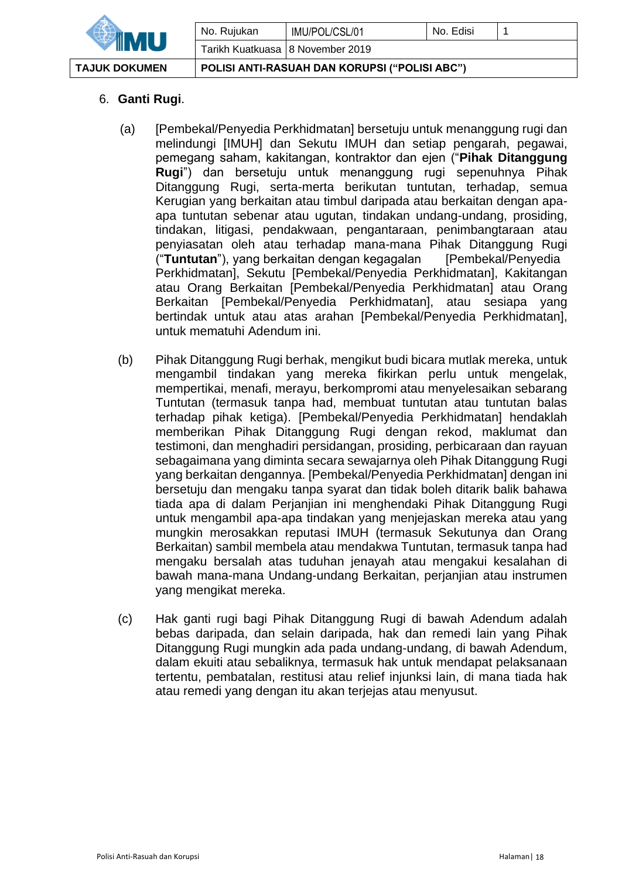| <b>TAJUK DOKUMEN</b> |             | POLISI ANTI-RASUAH DAN KORUPSI ("POLISI ABC") |           |  |
|----------------------|-------------|-----------------------------------------------|-----------|--|
|                      |             | Tarikh Kuatkuasa   8 November 2019            |           |  |
|                      | No. Rujukan | IMU/POL/CSL/01                                | No. Edisi |  |
|                      |             |                                               |           |  |

## 6. **Ganti Rugi**.

- (a) [Pembekal/Penyedia Perkhidmatan] bersetuju untuk menanggung rugi dan melindungi [IMUH] dan Sekutu IMUH dan setiap pengarah, pegawai, pemegang saham, kakitangan, kontraktor dan ejen ("**Pihak Ditanggung Rugi**") dan bersetuju untuk menanggung rugi sepenuhnya Pihak Ditanggung Rugi, serta-merta berikutan tuntutan, terhadap, semua Kerugian yang berkaitan atau timbul daripada atau berkaitan dengan apaapa tuntutan sebenar atau ugutan, tindakan undang-undang, prosiding, tindakan, litigasi, pendakwaan, pengantaraan, penimbangtaraan atau penyiasatan oleh atau terhadap mana-mana Pihak Ditanggung Rugi ("**Tuntutan**"), yang berkaitan dengan kegagalan [Pembekal/Penyedia Perkhidmatan], Sekutu [Pembekal/Penyedia Perkhidmatan], Kakitangan atau Orang Berkaitan [Pembekal/Penyedia Perkhidmatan] atau Orang Berkaitan [Pembekal/Penyedia Perkhidmatan], atau sesiapa yang bertindak untuk atau atas arahan [Pembekal/Penyedia Perkhidmatan], untuk mematuhi Adendum ini.
- (b) Pihak Ditanggung Rugi berhak, mengikut budi bicara mutlak mereka, untuk mengambil tindakan yang mereka fikirkan perlu untuk mengelak, mempertikai, menafi, merayu, berkompromi atau menyelesaikan sebarang Tuntutan (termasuk tanpa had, membuat tuntutan atau tuntutan balas terhadap pihak ketiga). [Pembekal/Penyedia Perkhidmatan] hendaklah memberikan Pihak Ditanggung Rugi dengan rekod, maklumat dan testimoni, dan menghadiri persidangan, prosiding, perbicaraan dan rayuan sebagaimana yang diminta secara sewajarnya oleh Pihak Ditanggung Rugi yang berkaitan dengannya. [Pembekal/Penyedia Perkhidmatan] dengan ini bersetuju dan mengaku tanpa syarat dan tidak boleh ditarik balik bahawa tiada apa di dalam Perjanjian ini menghendaki Pihak Ditanggung Rugi untuk mengambil apa-apa tindakan yang menjejaskan mereka atau yang mungkin merosakkan reputasi IMUH (termasuk Sekutunya dan Orang Berkaitan) sambil membela atau mendakwa Tuntutan, termasuk tanpa had mengaku bersalah atas tuduhan jenayah atau mengakui kesalahan di bawah mana-mana Undang-undang Berkaitan, perjanjian atau instrumen yang mengikat mereka.
- (c) Hak ganti rugi bagi Pihak Ditanggung Rugi di bawah Adendum adalah bebas daripada, dan selain daripada, hak dan remedi lain yang Pihak Ditanggung Rugi mungkin ada pada undang-undang, di bawah Adendum, dalam ekuiti atau sebaliknya, termasuk hak untuk mendapat pelaksanaan tertentu, pembatalan, restitusi atau relief injunksi lain, di mana tiada hak atau remedi yang dengan itu akan terjejas atau menyusut.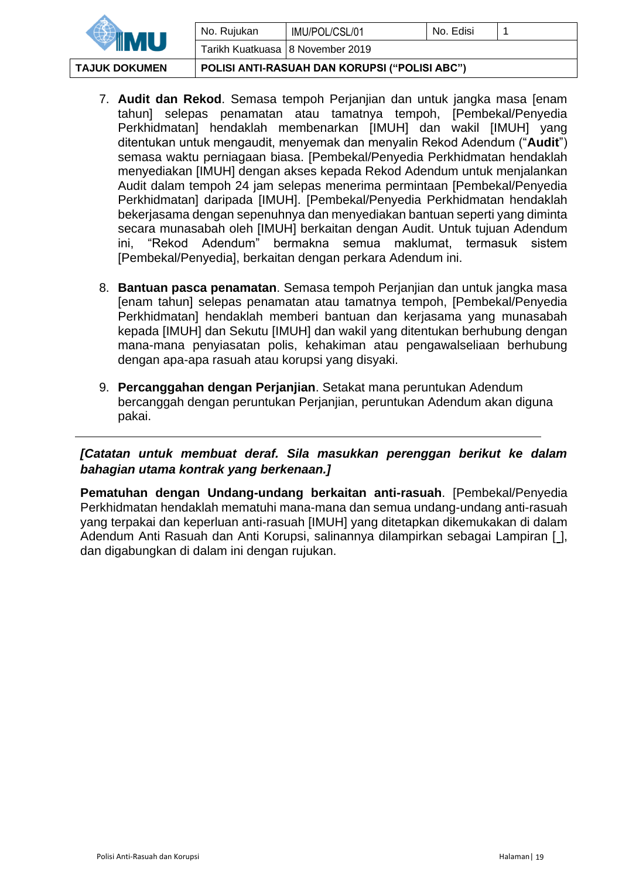| <b>TAJUK DOKUMEN</b> |                                    | POLISI ANTI-RASUAH DAN KORUPSI ("POLISI ABC") |           |  |
|----------------------|------------------------------------|-----------------------------------------------|-----------|--|
| 111                  | Tarikh Kuatkuasa   8 November 2019 |                                               |           |  |
|                      | No. Rujukan                        | IMU/POL/CSL/01                                | No. Edisi |  |
|                      |                                    |                                               |           |  |

- 7. **Audit dan Rekod**. Semasa tempoh Perjanjian dan untuk jangka masa [enam tahun] selepas penamatan atau tamatnya tempoh, [Pembekal/Penyedia Perkhidmatan] hendaklah membenarkan [IMUH] dan wakil [IMUH] yang ditentukan untuk mengaudit, menyemak dan menyalin Rekod Adendum ("**Audit**") semasa waktu perniagaan biasa. [Pembekal/Penyedia Perkhidmatan hendaklah menyediakan [IMUH] dengan akses kepada Rekod Adendum untuk menjalankan Audit dalam tempoh 24 jam selepas menerima permintaan [Pembekal/Penyedia Perkhidmatan] daripada [IMUH]. [Pembekal/Penyedia Perkhidmatan hendaklah bekerjasama dengan sepenuhnya dan menyediakan bantuan seperti yang diminta secara munasabah oleh [IMUH] berkaitan dengan Audit. Untuk tujuan Adendum ini, "Rekod Adendum" bermakna semua maklumat, termasuk sistem [Pembekal/Penyedia], berkaitan dengan perkara Adendum ini.
- 8. **Bantuan pasca penamatan**. Semasa tempoh Perjanjian dan untuk jangka masa [enam tahun] selepas penamatan atau tamatnya tempoh, [Pembekal/Penyedia Perkhidmatan] hendaklah memberi bantuan dan kerjasama yang munasabah kepada [IMUH] dan Sekutu [IMUH] dan wakil yang ditentukan berhubung dengan mana-mana penyiasatan polis, kehakiman atau pengawalseliaan berhubung dengan apa-apa rasuah atau korupsi yang disyaki.
- 9. **Percanggahan dengan Perjanjian**. Setakat mana peruntukan Adendum bercanggah dengan peruntukan Perjanjian, peruntukan Adendum akan diguna pakai.

# *[Catatan untuk membuat deraf. Sila masukkan perenggan berikut ke dalam bahagian utama kontrak yang berkenaan.]*

**Pematuhan dengan Undang-undang berkaitan anti-rasuah**. [Pembekal/Penyedia Perkhidmatan hendaklah mematuhi mana-mana dan semua undang-undang anti-rasuah yang terpakai dan keperluan anti-rasuah [IMUH] yang ditetapkan dikemukakan di dalam Adendum Anti Rasuah dan Anti Korupsi, salinannya dilampirkan sebagai Lampiran [ ], dan digabungkan di dalam ini dengan rujukan.